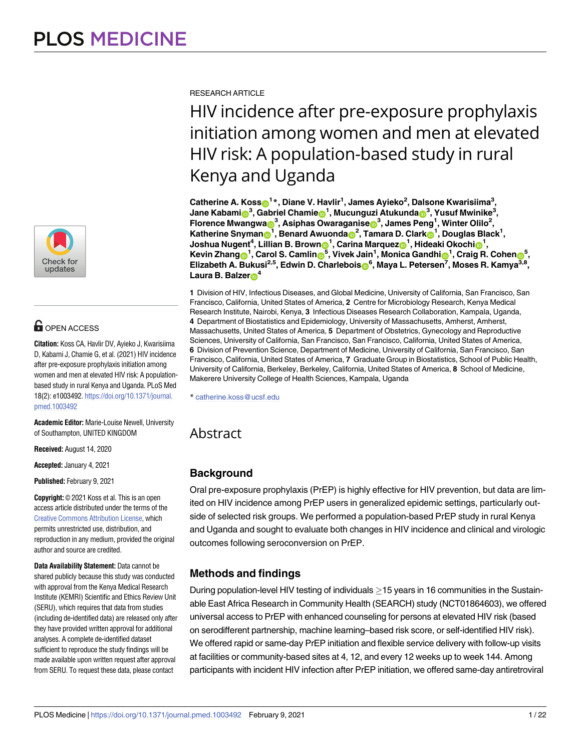

# **OPEN ACCESS**

**Citation:** Koss CA, Havlir DV, Ayieko J, Kwarisiima D, Kabami J, Chamie G, et al. (2021) HIV incidence after pre-exposure prophylaxis initiation among women and men at elevated HIV risk: A populationbased study in rural Kenya and Uganda. PLoS Med 18(2): e1003492. [https://doi.org/10.1371/journal.](https://doi.org/10.1371/journal.pmed.1003492) [pmed.1003492](https://doi.org/10.1371/journal.pmed.1003492)

**Academic Editor:** Marie-Louise Newell, University of Southampton, UNITED KINGDOM

**Received:** August 14, 2020

**Accepted:** January 4, 2021

**Published:** February 9, 2021

**Copyright:** © 2021 Koss et al. This is an open access article distributed under the terms of the Creative Commons [Attribution](http://creativecommons.org/licenses/by/4.0/) License, which permits unrestricted use, distribution, and reproduction in any medium, provided the original author and source are credited.

**Data Availability Statement:** Data cannot be shared publicly because this study was conducted with approval from the Kenya Medical Research Institute (KEMRI) Scientific and Ethics Review Unit (SERU), which requires that data from studies (including de-identified data) are released only after they have provided written approval for additional analyses. A complete de-identified dataset sufficient to reproduce the study findings will be made available upon written request after approval from SERU. To request these data, please contact

RESEARCH ARTICLE

HIV incidence after pre-exposure prophylaxis initiation among women and men at elevated HIV risk: A population-based study in rural Kenya and Uganda

 $\text{Catherine A. Koss}_{\text{O}}^{\text{1} *}, \text{Diane V. Havlir}^{\text{1}}, \text{James Ayieko}^{\text{2}}, \text{Dalsone Kwarisiima}^{\text{3}},$  $\lambda$ Jane Kabami $\textbf{B}^3$ , Gabriel Chamie $\textbf{B}^1$ , Mucunguzi Atukunda $\textbf{B}^3$ , Yusuf Mwinike $^3$ ,  $\mathbf{F}$ lorence Mwangwa $\mathbf{D}^3$ , Asiphas Owaraganise $\mathbf{D}^3$ , James Peng<sup>1</sup>, Winter Olilo<sup>2</sup>,  $K$ atherine Snyman<sub>o</sub><sup>1</sup>, Benard Awuonda<sub>o</sub><sup>2</sup>, Tamara D. Clark<sub>o</sub><sup>1</sup>, Douglas Black<sup>1</sup>,  $\bm{J}$ Oshua Nugent<sup>4</sup>, Lillian B. Brown $\bm{\Theta}^1$ , Carina Marquez $\bm{\Theta}^1$ , Hideaki Okochi $\bm{\Theta}^1$ , Kevin Zhang <sup>1</sup>, Carol S. Camlin <sup>5</sup>, Vivek Jain<sup>1</sup>, Monica Gandhi 1, Craig R. Cohen 5,  $E$ Iizabeth A. Bukusi<sup>2,5</sup>, Edwin D. Charlebois 6, Maya L. Petersen<sup>7</sup>, Moses R. Kamya<sup>3,8</sup>, **Laura B. Balzer**<sup>4</sup>

**1** Division of HIV, Infectious Diseases, and Global Medicine, University of California, San Francisco, San Francisco, California, United States of America, **2** Centre for Microbiology Research, Kenya Medical Research Institute, Nairobi, Kenya, **3** Infectious Diseases Research Collaboration, Kampala, Uganda, **4** Department of Biostatistics and Epidemiology, University of Massachusetts, Amherst, Amherst, Massachusetts, United States of America, **5** Department of Obstetrics, Gynecology and Reproductive Sciences, University of California, San Francisco, San Francisco, California, United States of America, **6** Division of Prevention Science, Department of Medicine, University of California, San Francisco, San Francisco, California, United States of America, **7** Graduate Group in Biostatistics, School of Public Health, University of California, Berkeley, Berkeley, California, United States of America, **8** School of Medicine, Makerere University College of Health Sciences, Kampala, Uganda

\* catherine.koss@ucsf.edu

## Abstract

## **Background**

Oral pre-exposure prophylaxis (PrEP) is highly effective for HIV prevention, but data are limited on HIV incidence among PrEP users in generalized epidemic settings, particularly outside of selected risk groups. We performed a population-based PrEP study in rural Kenya and Uganda and sought to evaluate both changes in HIV incidence and clinical and virologic outcomes following seroconversion on PrEP.

## **Methods and findings**

During population-level HIV testing of individuals  $\geq$  15 years in 16 communities in the Sustainable East Africa Research in Community Health (SEARCH) study (NCT01864603), we offered universal access to PrEP with enhanced counseling for persons at elevated HIV risk (based on serodifferent partnership, machine learning–based risk score, or self-identified HIV risk). We offered rapid or same-day PrEP initiation and flexible service delivery with follow-up visits at facilities or community-based sites at 4, 12, and every 12 weeks up to week 144. Among participants with incident HIV infection after PrEP initiation, we offered same-day antiretroviral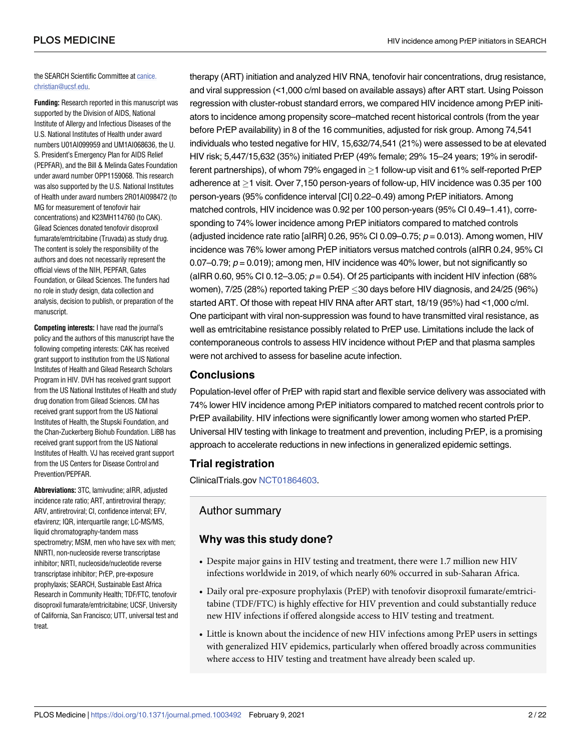the SEARCH Scientific Committee at [canice.](mailto:canice.christian@ucsf.edu) [christian@ucsf.edu.](mailto:canice.christian@ucsf.edu)

**Funding:** Research reported in this manuscript was supported by the Division of AIDS, National Institute of Allergy and Infectious Diseases of the U.S. National Institutes of Health under award numbers U01AI099959 and UM1AI068636, the U. S. President's Emergency Plan for AIDS Relief (PEPFAR), and the Bill & Melinda Gates Foundation under award number OPP1159068. This research was also supported by the U.S. National Institutes of Health under award numbers 2R01AI098472 (to MG for measurement of tenofovir hair concentrations) and K23MH114760 (to CAK). Gilead Sciences donated tenofovir disoproxil fumarate/emtricitabine (Truvada) as study drug. The content is solely the responsibility of the authors and does not necessarily represent the official views of the NIH, PEPFAR, Gates Foundation, or Gilead Sciences. The funders had no role in study design, data collection and analysis, decision to publish, or preparation of the manuscript.

**Competing interests:** I have read the journal's policy and the authors of this manuscript have the following competing interests: CAK has received grant support to institution from the US National Institutes of Health and Gilead Research Scholars Program in HIV. DVH has received grant support from the US National Institutes of Health and study drug donation from Gilead Sciences. CM has received grant support from the US National Institutes of Health, the Stupski Foundation, and the Chan-Zuckerberg Biohub Foundation. LiBB has received grant support from the US National Institutes of Health. VJ has received grant support from the US Centers for Disease Control and Prevention/PEPFAR.

**Abbreviations:** 3TC, lamivudine; aIRR, adjusted incidence rate ratio; ART, antiretroviral therapy; ARV, antiretroviral; CI, confidence interval; EFV, efavirenz; IQR, interquartile range; LC-MS/MS, liquid chromatography-tandem mass spectrometry; MSM, men who have sex with men; NNRTI, non-nucleoside reverse transcriptase inhibitor; NRTI, nucleoside/nucleotide reverse transcriptase inhibitor; PrEP, pre-exposure prophylaxis; SEARCH, Sustainable East Africa Research in Community Health; TDF/FTC, tenofovir disoproxil fumarate/emtricitabine; UCSF, University of California, San Francisco; UTT, universal test and treat.

therapy (ART) initiation and analyzed HIV RNA, tenofovir hair concentrations, drug resistance, and viral suppression (<1,000 c/ml based on available assays) after ART start. Using Poisson regression with cluster-robust standard errors, we compared HIV incidence among PrEP initiators to incidence among propensity score–matched recent historical controls (from the year before PrEP availability) in 8 of the 16 communities, adjusted for risk group. Among 74,541 individuals who tested negative for HIV, 15,632/74,541 (21%) were assessed to be at elevated HIV risk; 5,447/15,632 (35%) initiated PrEP (49% female; 29% 15–24 years; 19% in serodifferent partnerships), of whom 79% engaged in  $>$  1 follow-up visit and 61% self-reported PrEP adherence at  $\geq$ 1 visit. Over 7,150 person-years of follow-up, HIV incidence was 0.35 per 100 person-years (95% confidence interval [CI] 0.22–0.49) among PrEP initiators. Among matched controls, HIV incidence was 0.92 per 100 person-years (95% CI 0.49–1.41), corresponding to 74% lower incidence among PrEP initiators compared to matched controls (adjusted incidence rate ratio [aIRR] 0.26, 95% CI 0.09-0.75;  $p = 0.013$ ). Among women, HIV incidence was 76% lower among PrEP initiators versus matched controls (aIRR 0.24, 95% CI 0.07–0.79;  $p = 0.019$ ; among men, HIV incidence was 40% lower, but not significantly so (aIRR 0.60, 95% CI 0.12-3.05;  $p = 0.54$ ). Of 25 participants with incident HIV infection (68% women),  $7/25$  (28%) reported taking PrEP  $\leq$ 30 days before HIV diagnosis, and 24/25 (96%) started ART. Of those with repeat HIV RNA after ART start, 18/19 (95%) had <1,000 c/ml. One participant with viral non-suppression was found to have transmitted viral resistance, as well as emtricitabine resistance possibly related to PrEP use. Limitations include the lack of contemporaneous controls to assess HIV incidence without PrEP and that plasma samples were not archived to assess for baseline acute infection.

## **Conclusions**

Population-level offer of PrEP with rapid start and flexible service delivery was associated with 74% lower HIV incidence among PrEP initiators compared to matched recent controls prior to PrEP availability. HIV infections were significantly lower among women who started PrEP. Universal HIV testing with linkage to treatment and prevention, including PrEP, is a promising approach to accelerate reductions in new infections in generalized epidemic settings.

## **Trial registration**

ClinicalTrials.gov [NCT01864603.](https://clinicaltrials.gov/ct2/show/NCT01864603)

## Author summary

## **Why was this study done?**

- Despite major gains in HIV testing and treatment, there were 1.7 million new HIV infections worldwide in 2019, of which nearly 60% occurred in sub-Saharan Africa.
- Daily oral pre-exposure prophylaxis (PrEP) with tenofovir disoproxil fumarate/emtricitabine (TDF/FTC) is highly effective for HIV prevention and could substantially reduce new HIV infections if offered alongside access to HIV testing and treatment.
- Little is known about the incidence of new HIV infections among PrEP users in settings with generalized HIV epidemics, particularly when offered broadly across communities where access to HIV testing and treatment have already been scaled up.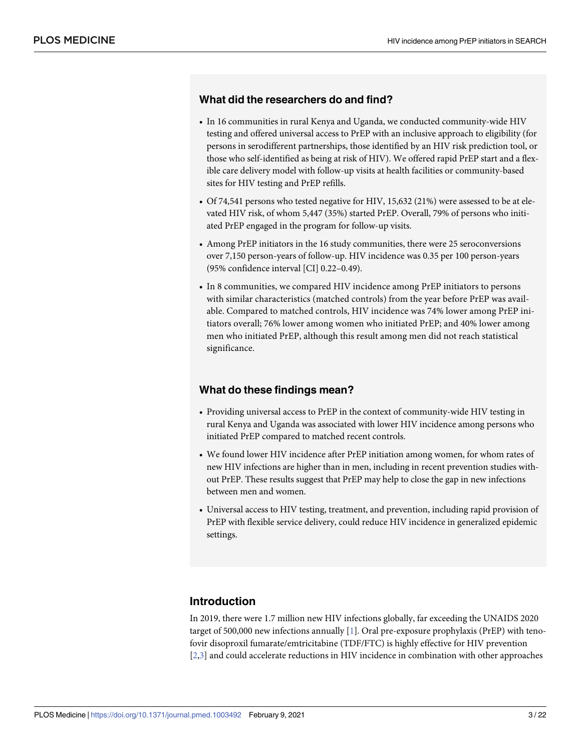#### <span id="page-2-0"></span>**What did the researchers do and find?**

- In 16 communities in rural Kenya and Uganda, we conducted community-wide HIV testing and offered universal access to PrEP with an inclusive approach to eligibility (for persons in serodifferent partnerships, those identified by an HIV risk prediction tool, or those who self-identified as being at risk of HIV). We offered rapid PrEP start and a flexible care delivery model with follow-up visits at health facilities or community-based sites for HIV testing and PrEP refills.
- Of 74,541 persons who tested negative for HIV, 15,632 (21%) were assessed to be at elevated HIV risk, of whom 5,447 (35%) started PrEP. Overall, 79% of persons who initiated PrEP engaged in the program for follow-up visits.
- Among PrEP initiators in the 16 study communities, there were 25 seroconversions over 7,150 person-years of follow-up. HIV incidence was 0.35 per 100 person-years (95% confidence interval [CI] 0.22–0.49).
- In 8 communities, we compared HIV incidence among PrEP initiators to persons with similar characteristics (matched controls) from the year before PrEP was available. Compared to matched controls, HIV incidence was 74% lower among PrEP initiators overall; 76% lower among women who initiated PrEP; and 40% lower among men who initiated PrEP, although this result among men did not reach statistical significance.

## **What do these findings mean?**

- Providing universal access to PrEP in the context of community-wide HIV testing in rural Kenya and Uganda was associated with lower HIV incidence among persons who initiated PrEP compared to matched recent controls.
- We found lower HIV incidence after PrEP initiation among women, for whom rates of new HIV infections are higher than in men, including in recent prevention studies without PrEP. These results suggest that PrEP may help to close the gap in new infections between men and women.
- Universal access to HIV testing, treatment, and prevention, including rapid provision of PrEP with flexible service delivery, could reduce HIV incidence in generalized epidemic settings.

## **Introduction**

In 2019, there were 1.7 million new HIV infections globally, far exceeding the UNAIDS 2020 target of 500,000 new infections annually [[1](#page-17-0)]. Oral pre-exposure prophylaxis (PrEP) with tenofovir disoproxil fumarate/emtricitabine (TDF/FTC) is highly effective for HIV prevention [\[2,3](#page-17-0)] and could accelerate reductions in HIV incidence in combination with other approaches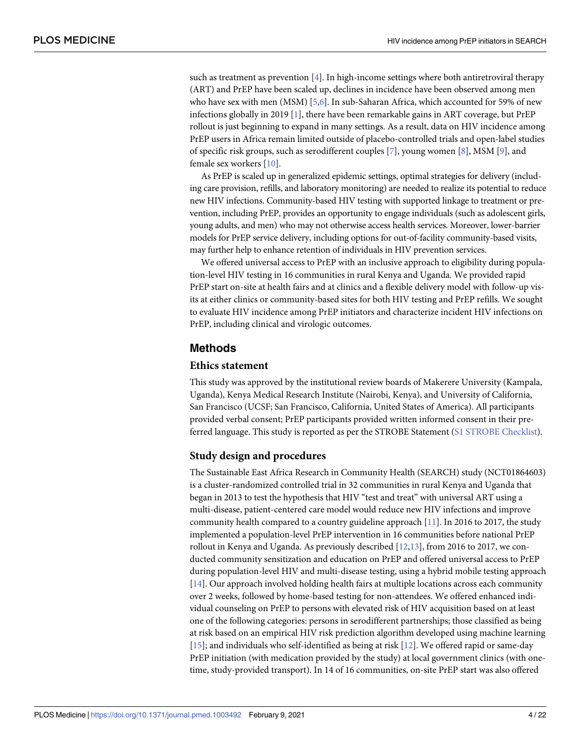<span id="page-3-0"></span>such as treatment as prevention  $[4]$  $[4]$ . In high-income settings where both antiretroviral therapy (ART) and PrEP have been scaled up, declines in incidence have been observed among men who have sex with men (MSM) [[5,6\]](#page-17-0). In sub-Saharan Africa, which accounted for 59% of new infections globally in 2019 [[1\]](#page-17-0), there have been remarkable gains in ART coverage, but PrEP rollout is just beginning to expand in many settings. As a result, data on HIV incidence among PrEP users in Africa remain limited outside of placebo-controlled trials and open-label studies of specific risk groups, such as serodifferent couples [[7\]](#page-17-0), young women [\[8\]](#page-18-0), MSM [[9\]](#page-18-0), and female sex workers [[10](#page-18-0)].

As PrEP is scaled up in generalized epidemic settings, optimal strategies for delivery (including care provision, refills, and laboratory monitoring) are needed to realize its potential to reduce new HIV infections. Community-based HIV testing with supported linkage to treatment or prevention, including PrEP, provides an opportunity to engage individuals (such as adolescent girls, young adults, and men) who may not otherwise access health services. Moreover, lower-barrier models for PrEP service delivery, including options for out-of-facility community-based visits, may further help to enhance retention of individuals in HIV prevention services.

We offered universal access to PrEP with an inclusive approach to eligibility during population-level HIV testing in 16 communities in rural Kenya and Uganda. We provided rapid PrEP start on-site at health fairs and at clinics and a flexible delivery model with follow-up visits at either clinics or community-based sites for both HIV testing and PrEP refills. We sought to evaluate HIV incidence among PrEP initiators and characterize incident HIV infections on PrEP, including clinical and virologic outcomes.

#### **Methods**

#### **Ethics statement**

This study was approved by the institutional review boards of Makerere University (Kampala, Uganda), Kenya Medical Research Institute (Nairobi, Kenya), and University of California, San Francisco (UCSF; San Francisco, California, United States of America). All participants provided verbal consent; PrEP participants provided written informed consent in their preferred language. This study is reported as per the STROBE Statement (S1 STROBE [Checklist](#page-15-0)).

#### **Study design and procedures**

The Sustainable East Africa Research in Community Health (SEARCH) study (NCT01864603) is a cluster-randomized controlled trial in 32 communities in rural Kenya and Uganda that began in 2013 to test the hypothesis that HIV "test and treat" with universal ART using a multi-disease, patient-centered care model would reduce new HIV infections and improve community health compared to a country guideline approach [\[11\]](#page-18-0). In 2016 to 2017, the study implemented a population-level PrEP intervention in 16 communities before national PrEP rollout in Kenya and Uganda. As previously described  $[12,13]$ , from 2016 to 2017, we conducted community sensitization and education on PrEP and offered universal access to PrEP during population-level HIV and multi-disease testing, using a hybrid mobile testing approach [\[14\]](#page-18-0). Our approach involved holding health fairs at multiple locations across each community over 2 weeks, followed by home-based testing for non-attendees. We offered enhanced individual counseling on PrEP to persons with elevated risk of HIV acquisition based on at least one of the following categories: persons in serodifferent partnerships; those classified as being at risk based on an empirical HIV risk prediction algorithm developed using machine learning [\[15\]](#page-18-0); and individuals who self-identified as being at risk [[12](#page-18-0)]. We offered rapid or same-day PrEP initiation (with medication provided by the study) at local government clinics (with onetime, study-provided transport). In 14 of 16 communities, on-site PrEP start was also offered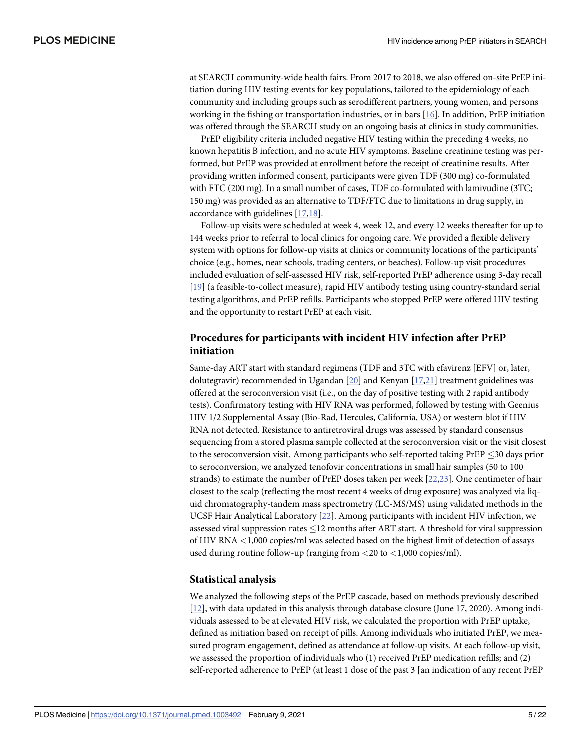<span id="page-4-0"></span>at SEARCH community-wide health fairs. From 2017 to 2018, we also offered on-site PrEP initiation during HIV testing events for key populations, tailored to the epidemiology of each community and including groups such as serodifferent partners, young women, and persons working in the fishing or transportation industries, or in bars [[16](#page-18-0)]. In addition, PrEP initiation was offered through the SEARCH study on an ongoing basis at clinics in study communities.

PrEP eligibility criteria included negative HIV testing within the preceding 4 weeks, no known hepatitis B infection, and no acute HIV symptoms. Baseline creatinine testing was performed, but PrEP was provided at enrollment before the receipt of creatinine results. After providing written informed consent, participants were given TDF (300 mg) co-formulated with FTC (200 mg). In a small number of cases, TDF co-formulated with lamivudine (3TC; 150 mg) was provided as an alternative to TDF/FTC due to limitations in drug supply, in accordance with guidelines [[17,18\]](#page-18-0).

Follow-up visits were scheduled at week 4, week 12, and every 12 weeks thereafter for up to 144 weeks prior to referral to local clinics for ongoing care. We provided a flexible delivery system with options for follow-up visits at clinics or community locations of the participants' choice (e.g., homes, near schools, trading centers, or beaches). Follow-up visit procedures included evaluation of self-assessed HIV risk, self-reported PrEP adherence using 3-day recall [\[19\]](#page-18-0) (a feasible-to-collect measure), rapid HIV antibody testing using country-standard serial testing algorithms, and PrEP refills. Participants who stopped PrEP were offered HIV testing and the opportunity to restart PrEP at each visit.

## **Procedures for participants with incident HIV infection after PrEP initiation**

Same-day ART start with standard regimens (TDF and 3TC with efavirenz [EFV] or, later, dolutegravir) recommended in Ugandan [[20](#page-18-0)] and Kenyan [[17,21\]](#page-18-0) treatment guidelines was offered at the seroconversion visit (i.e., on the day of positive testing with 2 rapid antibody tests). Confirmatory testing with HIV RNA was performed, followed by testing with Geenius HIV 1/2 Supplemental Assay (Bio-Rad, Hercules, California, USA) or western blot if HIV RNA not detected. Resistance to antiretroviral drugs was assessed by standard consensus sequencing from a stored plasma sample collected at the seroconversion visit or the visit closest to the seroconversion visit. Among participants who self-reported taking  $PrEP \leq 30$  days prior to seroconversion, we analyzed tenofovir concentrations in small hair samples (50 to 100 strands) to estimate the number of PrEP doses taken per week [[22,23\]](#page-18-0). One centimeter of hair closest to the scalp (reflecting the most recent 4 weeks of drug exposure) was analyzed via liquid chromatography-tandem mass spectrometry (LC-MS/MS) using validated methods in the UCSF Hair Analytical Laboratory [\[22\]](#page-18-0). Among participants with incident HIV infection, we assessed viral suppression rates  $\leq$  12 months after ART start. A threshold for viral suppression of HIV RNA *<*1,000 copies/ml was selected based on the highest limit of detection of assays used during routine follow-up (ranging from *<*20 to *<*1,000 copies/ml).

#### **Statistical analysis**

We analyzed the following steps of the PrEP cascade, based on methods previously described [\[12\]](#page-18-0), with data updated in this analysis through database closure (June 17, 2020). Among individuals assessed to be at elevated HIV risk, we calculated the proportion with PrEP uptake, defined as initiation based on receipt of pills. Among individuals who initiated PrEP, we measured program engagement, defined as attendance at follow-up visits. At each follow-up visit, we assessed the proportion of individuals who (1) received PrEP medication refills; and (2) self-reported adherence to PrEP (at least 1 dose of the past 3 [an indication of any recent PrEP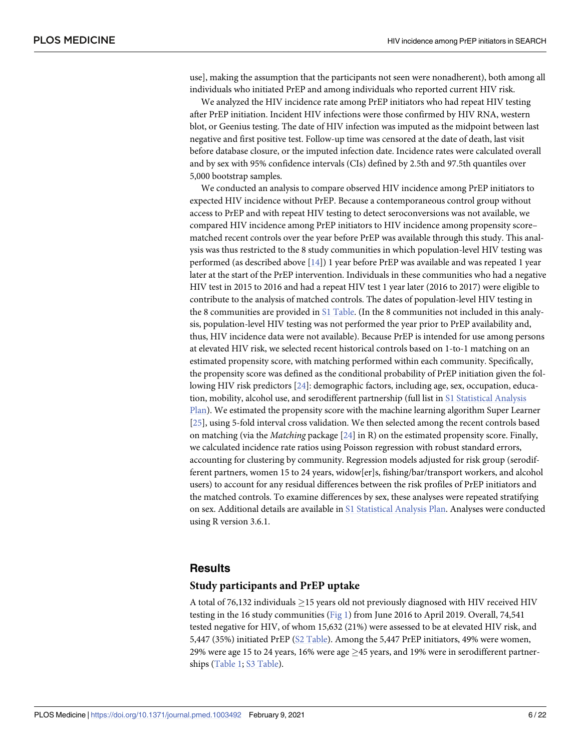<span id="page-5-0"></span>use], making the assumption that the participants not seen were nonadherent), both among all individuals who initiated PrEP and among individuals who reported current HIV risk.

We analyzed the HIV incidence rate among PrEP initiators who had repeat HIV testing after PrEP initiation. Incident HIV infections were those confirmed by HIV RNA, western blot, or Geenius testing. The date of HIV infection was imputed as the midpoint between last negative and first positive test. Follow-up time was censored at the date of death, last visit before database closure, or the imputed infection date. Incidence rates were calculated overall and by sex with 95% confidence intervals (CIs) defined by 2.5th and 97.5th quantiles over 5,000 bootstrap samples.

We conducted an analysis to compare observed HIV incidence among PrEP initiators to expected HIV incidence without PrEP. Because a contemporaneous control group without access to PrEP and with repeat HIV testing to detect seroconversions was not available, we compared HIV incidence among PrEP initiators to HIV incidence among propensity score– matched recent controls over the year before PrEP was available through this study. This analysis was thus restricted to the 8 study communities in which population-level HIV testing was performed (as described above [[14](#page-18-0)]) 1 year before PrEP was available and was repeated 1 year later at the start of the PrEP intervention. Individuals in these communities who had a negative HIV test in 2015 to 2016 and had a repeat HIV test 1 year later (2016 to 2017) were eligible to contribute to the analysis of matched controls. The dates of population-level HIV testing in the 8 communities are provided in S1 [Table](#page-16-0). (In the 8 communities not included in this analysis, population-level HIV testing was not performed the year prior to PrEP availability and, thus, HIV incidence data were not available). Because PrEP is intended for use among persons at elevated HIV risk, we selected recent historical controls based on 1-to-1 matching on an estimated propensity score, with matching performed within each community. Specifically, the propensity score was defined as the conditional probability of PrEP initiation given the following HIV risk predictors [\[24\]](#page-18-0): demographic factors, including age, sex, occupation, education, mobility, alcohol use, and serodifferent partnership (full list in S1 [Statistical](#page-15-0) Analysis [Plan\)](#page-15-0). We estimated the propensity score with the machine learning algorithm Super Learner [\[25\]](#page-18-0), using 5-fold interval cross validation. We then selected among the recent controls based on matching (via the *Matching* package [\[24\]](#page-18-0) in R) on the estimated propensity score. Finally, we calculated incidence rate ratios using Poisson regression with robust standard errors, accounting for clustering by community. Regression models adjusted for risk group (serodifferent partners, women 15 to 24 years, widow[er]s, fishing/bar/transport workers, and alcohol users) to account for any residual differences between the risk profiles of PrEP initiators and the matched controls. To examine differences by sex, these analyses were repeated stratifying on sex. Additional details are available in S1 [Statistical](#page-15-0) Analysis Plan. Analyses were conducted using R version 3.6.1.

#### **Results**

#### **Study participants and PrEP uptake**

A total of 76,132 individuals  $\geq$ 15 years old not previously diagnosed with HIV received HIV testing in the 16 study communities ([Fig](#page-6-0) 1) from June 2016 to April 2019. Overall, 74,541 tested negative for HIV, of whom 15,632 (21%) were assessed to be at elevated HIV risk, and 5,447 (35%) initiated PrEP (S2 [Table](#page-16-0)). Among the 5,447 PrEP initiators, 49% were women, 29% were age 15 to 24 years, 16% were age  $\geq$  45 years, and 19% were in serodifferent partnerships ([Table](#page-7-0) 1; S3 [Table](#page-16-0)).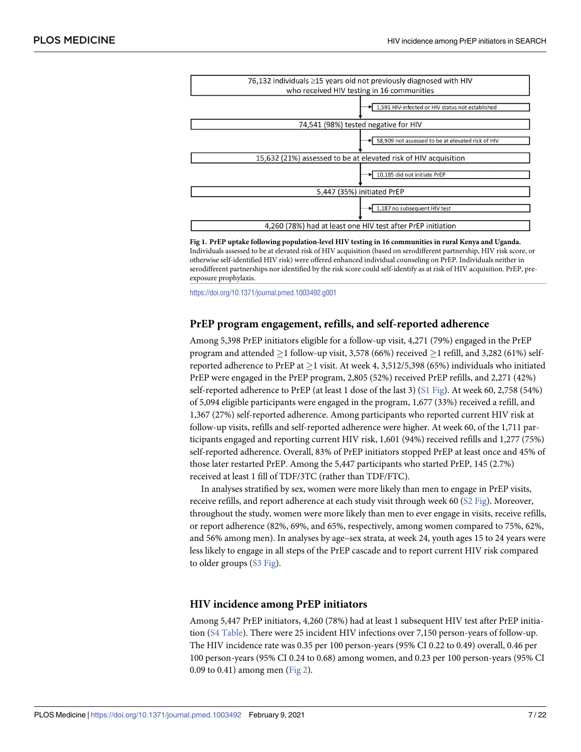<span id="page-6-0"></span>

| 76,132 individuals $\geq$ 15 years old not previously diagnosed with HIV |                                                   |  |  |  |
|--------------------------------------------------------------------------|---------------------------------------------------|--|--|--|
| who received HIV testing in 16 communities                               |                                                   |  |  |  |
|                                                                          | 1,591 HIV-infected or HIV status not established  |  |  |  |
| 74,541 (98%) tested negative for HIV                                     |                                                   |  |  |  |
|                                                                          | 58,909 not assessed to be at elevated risk of HIV |  |  |  |
| 15,632 (21%) assessed to be at elevated risk of HIV acquisition          |                                                   |  |  |  |
|                                                                          | 10,185 did not initiate PrEP                      |  |  |  |
| 5,447 (35%) initiated PrEP                                               |                                                   |  |  |  |
|                                                                          | → 1,187 no subsequent HIV test                    |  |  |  |
| 4.260 (78%) had at least one HIV test after PrEP initiation              |                                                   |  |  |  |
|                                                                          |                                                   |  |  |  |

**[Fig](#page-5-0) 1. PrEP uptake following population-level HIV testing in 16 communities in rural Kenya and Uganda.** Individuals assessed to be at elevated risk of HIV acquisition (based on serodifferent partnership, HIV risk score, or otherwise self-identified HIV risk) were offered enhanced individual counseling on PrEP. Individuals neither in serodifferent partnerships nor identified by the risk score could self-identify as at risk of HIV acquisition. PrEP, preexposure prophylaxis.

<https://doi.org/10.1371/journal.pmed.1003492.g001>

#### **PrEP program engagement, refills, and self-reported adherence**

Among 5,398 PrEP initiators eligible for a follow-up visit, 4,271 (79%) engaged in the PrEP program and attended  $\geq$  1 follow-up visit, 3,578 (66%) received  $\geq$  1 refill, and 3,282 (61%) selfreported adherence to PrEP at  $\geq 1$  visit. At week 4, 3,512/5,398 (65%) individuals who initiated PrEP were engaged in the PrEP program, 2,805 (52%) received PrEP refills, and 2,271 (42%) self-reported adherence to PrEP (at least 1 dose of the last 3) (S1 [Fig](#page-15-0)). At week 60, 2,758 (54%) of 5,094 eligible participants were engaged in the program, 1,677 (33%) received a refill, and 1,367 (27%) self-reported adherence. Among participants who reported current HIV risk at follow-up visits, refills and self-reported adherence were higher. At week 60, of the 1,711 participants engaged and reporting current HIV risk, 1,601 (94%) received refills and 1,277 (75%) self-reported adherence. Overall, 83% of PrEP initiators stopped PrEP at least once and 45% of those later restarted PrEP. Among the 5,447 participants who started PrEP, 145 (2.7%) received at least 1 fill of TDF/3TC (rather than TDF/FTC).

In analyses stratified by sex, women were more likely than men to engage in PrEP visits, receive refills, and report adherence at each study visit through week 60 (S2 [Fig\)](#page-15-0). Moreover, throughout the study, women were more likely than men to ever engage in visits, receive refills, or report adherence (82%, 69%, and 65%, respectively, among women compared to 75%, 62%, and 56% among men). In analyses by age–sex strata, at week 24, youth ages 15 to 24 years were less likely to engage in all steps of the PrEP cascade and to report current HIV risk compared to older groups (S3 [Fig\)](#page-15-0).

#### **HIV incidence among PrEP initiators**

Among 5,447 PrEP initiators, 4,260 (78%) had at least 1 subsequent HIV test after PrEP initiation (S4 [Table\)](#page-16-0). There were 25 incident HIV infections over 7,150 person-years of follow-up. The HIV incidence rate was 0.35 per 100 person-years (95% CI 0.22 to 0.49) overall, 0.46 per 100 person-years (95% CI 0.24 to 0.68) among women, and 0.23 per 100 person-years (95% CI 0.09 to 0.41) among men ([Fig](#page-8-0) 2).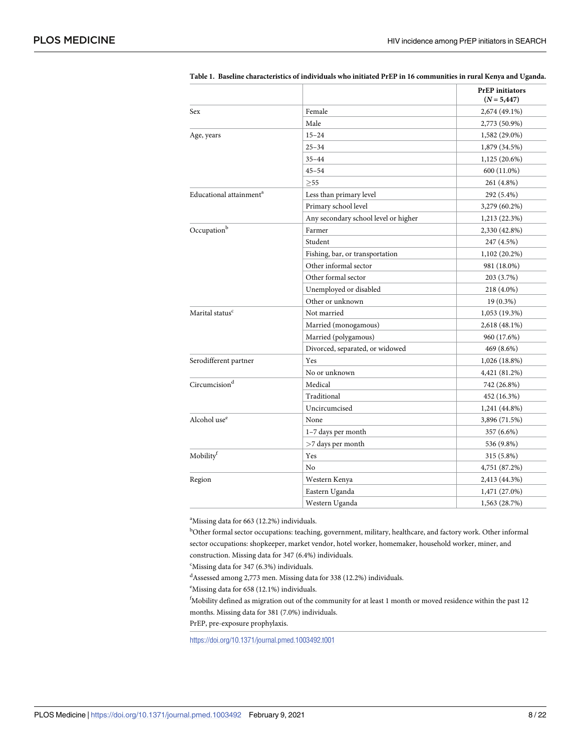|                                     |                                      | <b>PrEP</b> initiators<br>$(N = 5,447)$ |
|-------------------------------------|--------------------------------------|-----------------------------------------|
| Sex                                 | Female                               | 2,674 (49.1%)                           |
|                                     | Male                                 | 2,773 (50.9%)                           |
| Age, years                          | $15 - 24$                            | 1,582 (29.0%)                           |
|                                     | $25 - 34$                            | 1,879 (34.5%)                           |
|                                     | $35 - 44$                            | $1,125(20.6\%)$                         |
|                                     | $45 - 54$                            | 600 (11.0%)                             |
|                                     | >55                                  | 261 (4.8%)                              |
| Educational attainment <sup>a</sup> | Less than primary level              | 292 (5.4%)                              |
|                                     | Primary school level                 | 3,279 (60.2%)                           |
|                                     | Any secondary school level or higher | 1,213 (22.3%)                           |
| Occupationb                         | Farmer                               | 2,330 (42.8%)                           |
|                                     | Student                              | 247 (4.5%)                              |
|                                     | Fishing, bar, or transportation      | $1,102(20.2\%)$                         |
|                                     | Other informal sector                | 981 (18.0%)                             |
|                                     | Other formal sector                  | 203 (3.7%)                              |
|                                     | Unemployed or disabled               | 218 (4.0%)                              |
|                                     | Other or unknown                     | $19(0.3\%)$                             |
| Marital status <sup>c</sup>         | Not married                          | 1,053(19.3%)                            |
|                                     | Married (monogamous)                 | 2,618 (48.1%)                           |
|                                     | Married (polygamous)                 | 960 (17.6%)                             |
|                                     | Divorced, separated, or widowed      | 469 (8.6%)                              |
| Serodifferent partner               | Yes                                  | 1,026 (18.8%)                           |
|                                     | No or unknown                        | 4,421 (81.2%)                           |
| Circumcision <sup>d</sup>           | Medical                              | 742 (26.8%)                             |
|                                     | Traditional                          | 452 (16.3%)                             |
|                                     | Uncircumcised                        | 1,241 (44.8%)                           |
| Alcohol use <sup>e</sup>            | None                                 | 3,896 (71.5%)                           |
|                                     | 1-7 days per month                   | 357 (6.6%)                              |
|                                     | >7 days per month                    | 536 (9.8%)                              |
| Mobilityf                           | Yes                                  | 315 (5.8%)                              |
|                                     | No                                   | 4,751 (87.2%)                           |
| Region                              | Western Kenya                        | 2,413 (44.3%)                           |
|                                     | Eastern Uganda                       | 1,471 (27.0%)                           |
|                                     | Western Uganda                       | 1,563 (28.7%)                           |

<span id="page-7-0"></span>[Table](#page-5-0) 1. Baseline characteristics of individuals who initiated PrEP in 16 communities in rural Kenya and Uganda.

<sup>a</sup>Missing data for 663 (12.2%) individuals.

<sup>b</sup>Other formal sector occupations: teaching, government, military, healthcare, and factory work. Other informal sector occupations: shopkeeper, market vendor, hotel worker, homemaker, household worker, miner, and construction. Missing data for 347 (6.4%) individuals.

c Missing data for 347 (6.3%) individuals.

d Assessed among 2,773 men. Missing data for 338 (12.2%) individuals.

<sup>e</sup>Missing data for 658 (12.1%) individuals.

<sup>f</sup>Mobility defined as migration out of the community for at least 1 month or moved residence within the past 12 months. Missing data for 381 (7.0%) individuals.

PrEP, pre-exposure prophylaxis.

<https://doi.org/10.1371/journal.pmed.1003492.t001>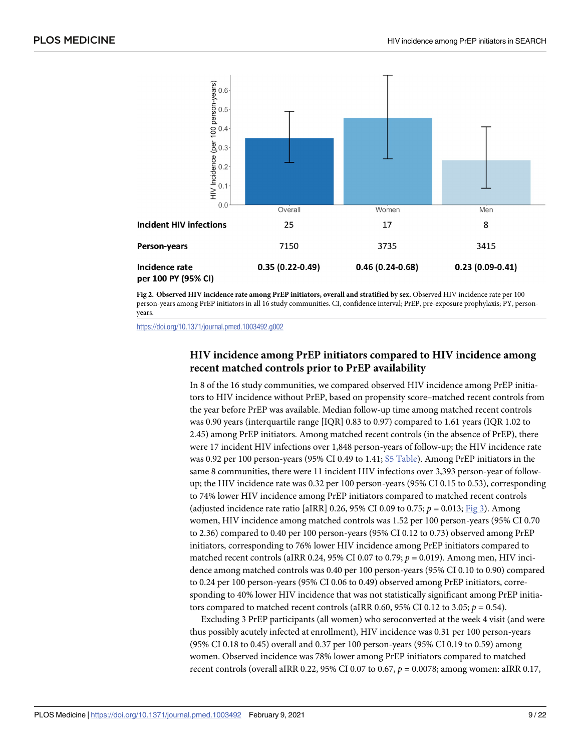<span id="page-8-0"></span>

**[Fig](#page-6-0) 2. Observed HIV incidence rate among PrEP initiators, overall and stratified by sex.** Observed HIV incidence rate per 100 person-years among PrEP initiators in all 16 study communities. CI, confidence interval; PrEP, pre-exposure prophylaxis; PY, personyears.

<https://doi.org/10.1371/journal.pmed.1003492.g002>

## **HIV incidence among PrEP initiators compared to HIV incidence among recent matched controls prior to PrEP availability**

In 8 of the 16 study communities, we compared observed HIV incidence among PrEP initiators to HIV incidence without PrEP, based on propensity score–matched recent controls from the year before PrEP was available. Median follow-up time among matched recent controls was 0.90 years (interquartile range [IQR] 0.83 to 0.97) compared to 1.61 years (IQR 1.02 to 2.45) among PrEP initiators. Among matched recent controls (in the absence of PrEP), there were 17 incident HIV infections over 1,848 person-years of follow-up; the HIV incidence rate was 0.92 per 100 person-years (95% CI 0.49 to 1.41; S5 [Table\)](#page-16-0). Among PrEP initiators in the same 8 communities, there were 11 incident HIV infections over 3,393 person-year of followup; the HIV incidence rate was 0.32 per 100 person-years (95% CI 0.15 to 0.53), corresponding to 74% lower HIV incidence among PrEP initiators compared to matched recent controls (adjusted incidence rate ratio [aIRR] 0.26, 95% CI 0.09 to 0.75; *p* = 0.013; [Fig](#page-9-0) 3). Among women, HIV incidence among matched controls was 1.52 per 100 person-years (95% CI 0.70 to 2.36) compared to 0.40 per 100 person-years (95% CI 0.12 to 0.73) observed among PrEP initiators, corresponding to 76% lower HIV incidence among PrEP initiators compared to matched recent controls (aIRR 0.24, 95% CI 0.07 to 0.79; *p* = 0.019). Among men, HIV incidence among matched controls was 0.40 per 100 person-years (95% CI 0.10 to 0.90) compared to 0.24 per 100 person-years (95% CI 0.06 to 0.49) observed among PrEP initiators, corresponding to 40% lower HIV incidence that was not statistically significant among PrEP initiators compared to matched recent controls (aIRR 0.60, 95% CI 0.12 to 3.05;  $p = 0.54$ ).

Excluding 3 PrEP participants (all women) who seroconverted at the week 4 visit (and were thus possibly acutely infected at enrollment), HIV incidence was 0.31 per 100 person-years (95% CI 0.18 to 0.45) overall and 0.37 per 100 person-years (95% CI 0.19 to 0.59) among women. Observed incidence was 78% lower among PrEP initiators compared to matched recent controls (overall aIRR 0.22, 95% CI 0.07 to 0.67, *p* = 0.0078; among women: aIRR 0.17,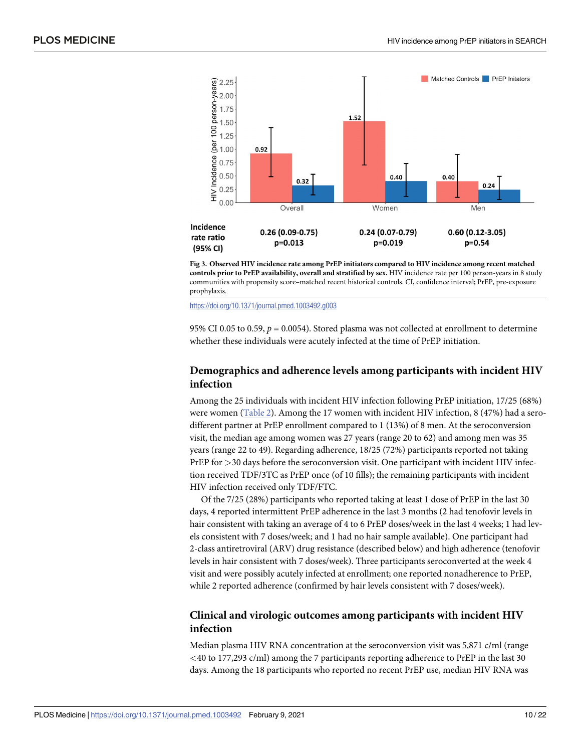<span id="page-9-0"></span>

**[Fig](#page-8-0) 3. Observed HIV incidence rate among PrEP initiators compared to HIV incidence among recent matched controls prior to PrEP availability, overall and stratified by sex.** HIV incidence rate per 100 person-years in 8 study communities with propensity score–matched recent historical controls. CI, confidence interval; PrEP, pre-exposure prophylaxis.

<https://doi.org/10.1371/journal.pmed.1003492.g003>

95% CI 0.05 to 0.59,  $p = 0.0054$ ). Stored plasma was not collected at enrollment to determine whether these individuals were acutely infected at the time of PrEP initiation.

## **Demographics and adherence levels among participants with incident HIV infection**

Among the 25 individuals with incident HIV infection following PrEP initiation, 17/25 (68%) were women ([Table](#page-10-0) 2). Among the 17 women with incident HIV infection, 8 (47%) had a serodifferent partner at PrEP enrollment compared to 1 (13%) of 8 men. At the seroconversion visit, the median age among women was 27 years (range 20 to 62) and among men was 35 years (range 22 to 49). Regarding adherence, 18/25 (72%) participants reported not taking PrEP for *>*30 days before the seroconversion visit. One participant with incident HIV infection received TDF/3TC as PrEP once (of 10 fills); the remaining participants with incident HIV infection received only TDF/FTC.

Of the 7/25 (28%) participants who reported taking at least 1 dose of PrEP in the last 30 days, 4 reported intermittent PrEP adherence in the last 3 months (2 had tenofovir levels in hair consistent with taking an average of 4 to 6 PrEP doses/week in the last 4 weeks; 1 had levels consistent with 7 doses/week; and 1 had no hair sample available). One participant had 2-class antiretroviral (ARV) drug resistance (described below) and high adherence (tenofovir levels in hair consistent with 7 doses/week). Three participants seroconverted at the week 4 visit and were possibly acutely infected at enrollment; one reported nonadherence to PrEP, while 2 reported adherence (confirmed by hair levels consistent with 7 doses/week).

## **Clinical and virologic outcomes among participants with incident HIV infection**

Median plasma HIV RNA concentration at the seroconversion visit was 5,871 c/ml (range *<*40 to 177,293 c/ml) among the 7 participants reporting adherence to PrEP in the last 30 days. Among the 18 participants who reported no recent PrEP use, median HIV RNA was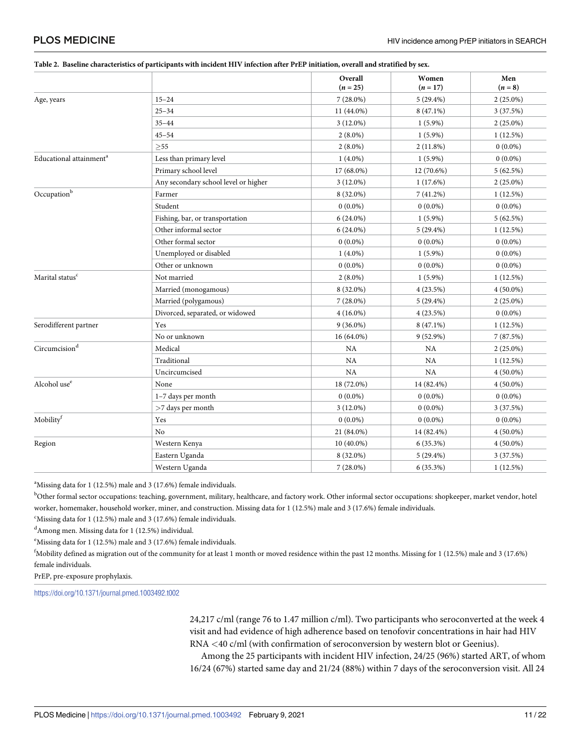#### <span id="page-10-0"></span>PLOS MEDICINE

|                                                                | Overall<br>$(n = 25)$ | Women<br>$(n = 17)$ | Men<br>$(n=8)$ |
|----------------------------------------------------------------|-----------------------|---------------------|----------------|
| $15 - 24$<br>Age, years<br>$25 - 34$<br>$35 - 44$<br>$45 - 54$ | $7(28.0\%)$           | $5(29.4\%)$         | $2(25.0\%)$    |
|                                                                | 11 (44.0%)            | $8(47.1\%)$         | 3(37.5%)       |
|                                                                | $3(12.0\%)$           | $1(5.9\%)$          | $2(25.0\%)$    |
|                                                                | $2(8.0\%)$            | $1(5.9\%)$          | 1(12.5%)       |

#### [Table](#page-9-0) 2. Baseline characteristics of participants with incident HIV infection after PrEP initiation, overall and stratified by sex.

| Educational attainment <sup>a</sup> | Less than primary level              | $1(4.0\%)$  | $1(5.9\%)$  | $0(0.0\%)$  |
|-------------------------------------|--------------------------------------|-------------|-------------|-------------|
|                                     | Primary school level                 | 17 (68.0%)  | 12 (70.6%)  | 5(62.5%)    |
|                                     | Any secondary school level or higher | $3(12.0\%)$ | 1(17.6%)    | $2(25.0\%)$ |
| $\mathrm{Occupation}^\mathrm{b}$    | Farmer                               | 8 (32.0%)   | 7(41.2%)    | 1(12.5%)    |
|                                     | Student                              | $0(0.0\%)$  | $0(0.0\%)$  | $0(0.0\%)$  |
|                                     | Fishing, bar, or transportation      | $6(24.0\%)$ | $1(5.9\%)$  | 5(62.5%)    |
|                                     | Other informal sector                | $6(24.0\%)$ | $5(29.4\%)$ | 1(12.5%)    |
|                                     | Other formal sector                  | $0(0.0\%)$  | $0(0.0\%)$  | $0(0.0\%)$  |
|                                     | Unemployed or disabled               | $1(4.0\%)$  | $1(5.9\%)$  | $0(0.0\%)$  |
|                                     | Other or unknown                     | $0(0.0\%)$  | $0(0.0\%)$  | $0(0.0\%)$  |
| Marital status <sup>c</sup>         | Not married                          | $2(8.0\%)$  | $1(5.9\%)$  | 1(12.5%)    |
|                                     | Married (monogamous)                 | 8 (32.0%)   | 4(23.5%)    | $4(50.0\%)$ |
|                                     | Married (polygamous)                 | $7(28.0\%)$ | $5(29.4\%)$ | $2(25.0\%)$ |
|                                     | Divorced, separated, or widowed      | $4(16.0\%)$ | 4(23.5%)    | $0(0.0\%)$  |
| Serodifferent partner               | Yes                                  | $9(36.0\%)$ | 8 (47.1%)   | $1(12.5\%)$ |
|                                     | No or unknown                        | 16 (64.0%)  | $9(52.9\%)$ | 7(87.5%)    |
| Circumcision <sup>d</sup>           | Medical                              | NA          | <b>NA</b>   | $2(25.0\%)$ |
|                                     | Traditional                          | NA          | <b>NA</b>   | 1(12.5%)    |
|                                     | Uncircumcised                        | NA          | <b>NA</b>   | $4(50.0\%)$ |
| Alcohol use <sup>e</sup>            | None                                 | 18 (72.0%)  | 14 (82.4%)  | $4(50.0\%)$ |
|                                     | 1-7 days per month                   | $0(0.0\%)$  | $0(0.0\%)$  | $0(0.0\%)$  |
|                                     | >7 days per month                    | $3(12.0\%)$ | $0(0.0\%)$  | 3(37.5%)    |
| Mobility <sup>f</sup>               | Yes                                  | $0(0.0\%)$  | $0(0.0\%)$  | $0(0.0\%)$  |
|                                     | No                                   | 21 (84.0%)  | 14 (82.4%)  | $4(50.0\%)$ |
| Region                              | Western Kenya                        | 10 (40.0%)  | 6(35.3%)    | $4(50.0\%)$ |
|                                     | Eastern Uganda                       | 8 (32.0%)   | $5(29.4\%)$ | 3(37.5%)    |
|                                     | Western Uganda                       | $7(28.0\%)$ | $6(35.3\%)$ | 1(12.5%)    |

 $\geq$ 55 2 (8.0%) 2 (8.0%) 2 (11.8%) 0 (0.0%)

<sup>a</sup>Missing data for 1 (12.5%) male and 3 (17.6%) female individuals.

<sup>b</sup>Other formal sector occupations: teaching, government, military, healthcare, and factory work. Other informal sector occupations: shopkeeper, market vendor, hotel worker, homemaker, household worker, miner, and construction. Missing data for 1 (12.5%) male and 3 (17.6%) female individuals.

<sup>c</sup>Missing data for 1 (12.5%) male and 3 (17.6%) female individuals.

d Among men. Missing data for 1 (12.5%) individual.

<sup>e</sup>Missing data for 1 (12.5%) male and 3 (17.6%) female individuals.

f Mobility defined as migration out of the community for at least 1 month or moved residence within the past 12 months. Missing for 1 (12.5%) male and 3 (17.6%) female individuals.

PrEP, pre-exposure prophylaxis.

<https://doi.org/10.1371/journal.pmed.1003492.t002>

24,217 c/ml (range 76 to 1.47 million c/ml). Two participants who seroconverted at the week 4 visit and had evidence of high adherence based on tenofovir concentrations in hair had HIV RNA *<*40 c/ml (with confirmation of seroconversion by western blot or Geenius).

Among the 25 participants with incident HIV infection, 24/25 (96%) started ART, of whom 16/24 (67%) started same day and 21/24 (88%) within 7 days of the seroconversion visit. All 24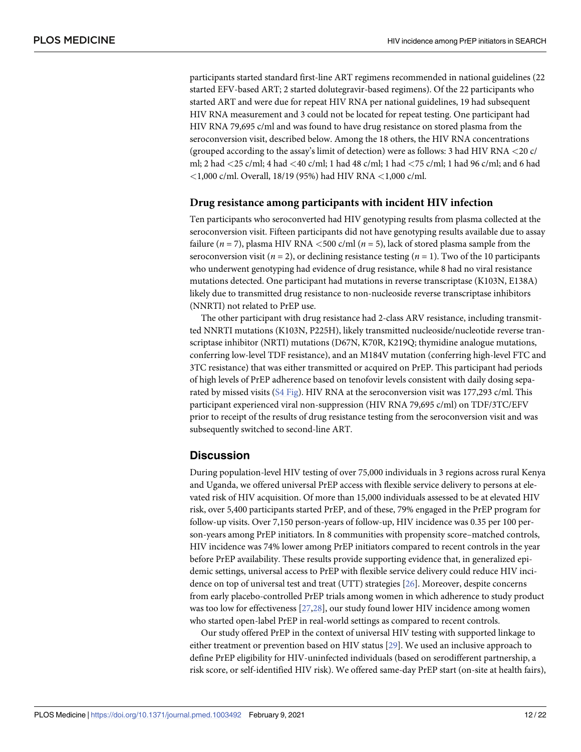<span id="page-11-0"></span>participants started standard first-line ART regimens recommended in national guidelines (22 started EFV-based ART; 2 started dolutegravir-based regimens). Of the 22 participants who started ART and were due for repeat HIV RNA per national guidelines, 19 had subsequent HIV RNA measurement and 3 could not be located for repeat testing. One participant had HIV RNA 79,695 c/ml and was found to have drug resistance on stored plasma from the seroconversion visit, described below. Among the 18 others, the HIV RNA concentrations (grouped according to the assay's limit of detection) were as follows: 3 had HIV RNA *<*20 c/ ml; 2 had *<*25 c/ml; 4 had *<*40 c/ml; 1 had 48 c/ml; 1 had *<*75 c/ml; 1 had 96 c/ml; and 6 had *<*1,000 c/ml. Overall, 18/19 (95%) had HIV RNA *<*1,000 c/ml.

#### **Drug resistance among participants with incident HIV infection**

Ten participants who seroconverted had HIV genotyping results from plasma collected at the seroconversion visit. Fifteen participants did not have genotyping results available due to assay failure (*n* = 7), plasma HIV RNA *<*500 c/ml (*n* = 5), lack of stored plasma sample from the seroconversion visit ( $n = 2$ ), or declining resistance testing ( $n = 1$ ). Two of the 10 participants who underwent genotyping had evidence of drug resistance, while 8 had no viral resistance mutations detected. One participant had mutations in reverse transcriptase (K103N, E138A) likely due to transmitted drug resistance to non-nucleoside reverse transcriptase inhibitors (NNRTI) not related to PrEP use.

The other participant with drug resistance had 2-class ARV resistance, including transmitted NNRTI mutations (K103N, P225H), likely transmitted nucleoside/nucleotide reverse transcriptase inhibitor (NRTI) mutations (D67N, K70R, K219Q; thymidine analogue mutations, conferring low-level TDF resistance), and an M184V mutation (conferring high-level FTC and 3TC resistance) that was either transmitted or acquired on PrEP. This participant had periods of high levels of PrEP adherence based on tenofovir levels consistent with daily dosing separated by missed visits (S4 [Fig](#page-16-0)). HIV RNA at the seroconversion visit was 177,293 c/ml. This participant experienced viral non-suppression (HIV RNA 79,695 c/ml) on TDF/3TC/EFV prior to receipt of the results of drug resistance testing from the seroconversion visit and was subsequently switched to second-line ART.

#### **Discussion**

During population-level HIV testing of over 75,000 individuals in 3 regions across rural Kenya and Uganda, we offered universal PrEP access with flexible service delivery to persons at elevated risk of HIV acquisition. Of more than 15,000 individuals assessed to be at elevated HIV risk, over 5,400 participants started PrEP, and of these, 79% engaged in the PrEP program for follow-up visits. Over 7,150 person-years of follow-up, HIV incidence was 0.35 per 100 person-years among PrEP initiators. In 8 communities with propensity score–matched controls, HIV incidence was 74% lower among PrEP initiators compared to recent controls in the year before PrEP availability. These results provide supporting evidence that, in generalized epidemic settings, universal access to PrEP with flexible service delivery could reduce HIV incidence on top of universal test and treat (UTT) strategies [[26](#page-18-0)]. Moreover, despite concerns from early placebo-controlled PrEP trials among women in which adherence to study product was too low for effectiveness [\[27,28](#page-19-0)], our study found lower HIV incidence among women who started open-label PrEP in real-world settings as compared to recent controls.

Our study offered PrEP in the context of universal HIV testing with supported linkage to either treatment or prevention based on HIV status [[29](#page-19-0)]. We used an inclusive approach to define PrEP eligibility for HIV-uninfected individuals (based on serodifferent partnership, a risk score, or self-identified HIV risk). We offered same-day PrEP start (on-site at health fairs),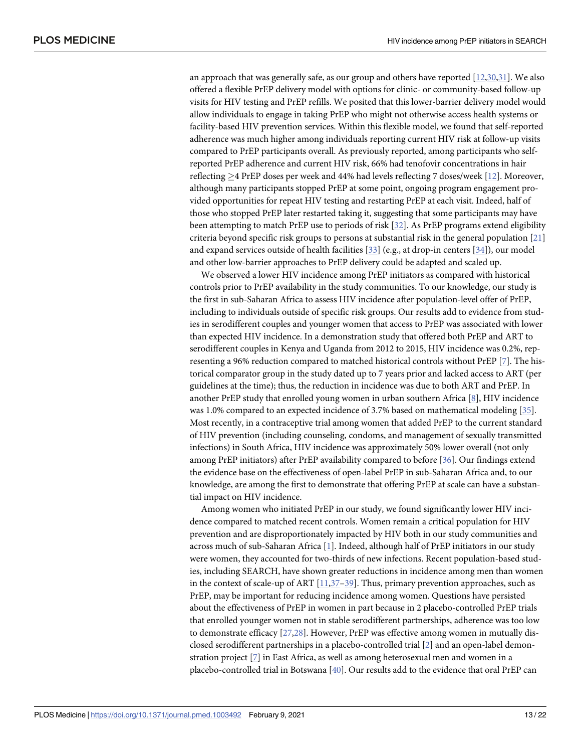<span id="page-12-0"></span>an approach that was generally safe, as our group and others have reported [[12](#page-18-0)[,30,31\]](#page-19-0). We also offered a flexible PrEP delivery model with options for clinic- or community-based follow-up visits for HIV testing and PrEP refills. We posited that this lower-barrier delivery model would allow individuals to engage in taking PrEP who might not otherwise access health systems or facility-based HIV prevention services. Within this flexible model, we found that self-reported adherence was much higher among individuals reporting current HIV risk at follow-up visits compared to PrEP participants overall. As previously reported, among participants who selfreported PrEP adherence and current HIV risk, 66% had tenofovir concentrations in hair reflecting �4 PrEP doses per week and 44% had levels reflecting 7 doses/week [\[12\]](#page-18-0). Moreover, although many participants stopped PrEP at some point, ongoing program engagement provided opportunities for repeat HIV testing and restarting PrEP at each visit. Indeed, half of those who stopped PrEP later restarted taking it, suggesting that some participants may have been attempting to match PrEP use to periods of risk [[32](#page-19-0)]. As PrEP programs extend eligibility criteria beyond specific risk groups to persons at substantial risk in the general population [\[21\]](#page-18-0) and expand services outside of health facilities [\[33\]](#page-19-0) (e.g., at drop-in centers [\[34\]](#page-19-0)), our model and other low-barrier approaches to PrEP delivery could be adapted and scaled up.

We observed a lower HIV incidence among PrEP initiators as compared with historical controls prior to PrEP availability in the study communities. To our knowledge, our study is the first in sub-Saharan Africa to assess HIV incidence after population-level offer of PrEP, including to individuals outside of specific risk groups. Our results add to evidence from studies in serodifferent couples and younger women that access to PrEP was associated with lower than expected HIV incidence. In a demonstration study that offered both PrEP and ART to serodifferent couples in Kenya and Uganda from 2012 to 2015, HIV incidence was 0.2%, representing a 96% reduction compared to matched historical controls without PrEP [\[7\]](#page-17-0). The historical comparator group in the study dated up to 7 years prior and lacked access to ART (per guidelines at the time); thus, the reduction in incidence was due to both ART and PrEP. In another PrEP study that enrolled young women in urban southern Africa [[8\]](#page-18-0), HIV incidence was 1.0% compared to an expected incidence of 3.7% based on mathematical modeling [\[35\]](#page-19-0). Most recently, in a contraceptive trial among women that added PrEP to the current standard of HIV prevention (including counseling, condoms, and management of sexually transmitted infections) in South Africa, HIV incidence was approximately 50% lower overall (not only among PrEP initiators) after PrEP availability compared to before [\[36\]](#page-19-0). Our findings extend the evidence base on the effectiveness of open-label PrEP in sub-Saharan Africa and, to our knowledge, are among the first to demonstrate that offering PrEP at scale can have a substantial impact on HIV incidence.

Among women who initiated PrEP in our study, we found significantly lower HIV incidence compared to matched recent controls. Women remain a critical population for HIV prevention and are disproportionately impacted by HIV both in our study communities and across much of sub-Saharan Africa [\[1](#page-17-0)]. Indeed, although half of PrEP initiators in our study were women, they accounted for two-thirds of new infections. Recent population-based studies, including SEARCH, have shown greater reductions in incidence among men than women in the context of scale-up of ART  $[11,37-39]$  $[11,37-39]$ . Thus, primary prevention approaches, such as PrEP, may be important for reducing incidence among women. Questions have persisted about the effectiveness of PrEP in women in part because in 2 placebo-controlled PrEP trials that enrolled younger women not in stable serodifferent partnerships, adherence was too low to demonstrate efficacy [\[27,28](#page-19-0)]. However, PrEP was effective among women in mutually disclosed serodifferent partnerships in a placebo-controlled trial [\[2](#page-17-0)] and an open-label demonstration project [[7](#page-17-0)] in East Africa, as well as among heterosexual men and women in a placebo-controlled trial in Botswana [\[40\]](#page-19-0). Our results add to the evidence that oral PrEP can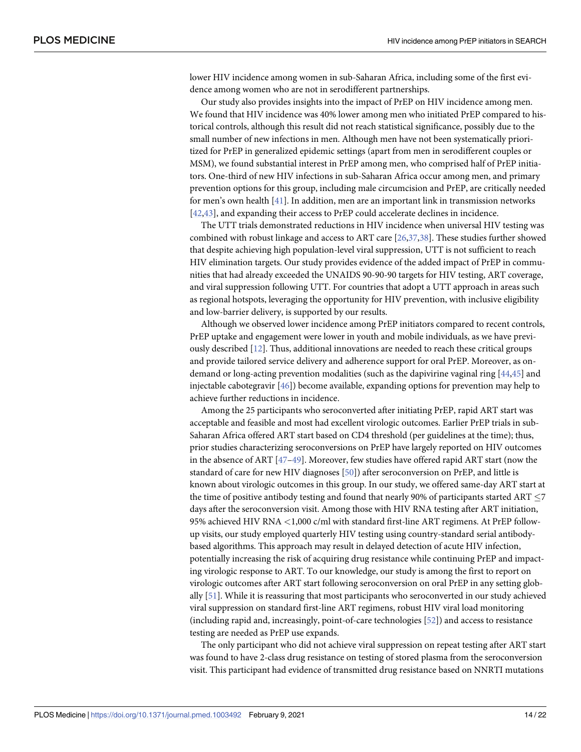<span id="page-13-0"></span>lower HIV incidence among women in sub-Saharan Africa, including some of the first evidence among women who are not in serodifferent partnerships.

Our study also provides insights into the impact of PrEP on HIV incidence among men. We found that HIV incidence was 40% lower among men who initiated PrEP compared to historical controls, although this result did not reach statistical significance, possibly due to the small number of new infections in men. Although men have not been systematically prioritized for PrEP in generalized epidemic settings (apart from men in serodifferent couples or MSM), we found substantial interest in PrEP among men, who comprised half of PrEP initiators. One-third of new HIV infections in sub-Saharan Africa occur among men, and primary prevention options for this group, including male circumcision and PrEP, are critically needed for men's own health [[41](#page-19-0)]. In addition, men are an important link in transmission networks [\[42,43\]](#page-19-0), and expanding their access to PrEP could accelerate declines in incidence.

The UTT trials demonstrated reductions in HIV incidence when universal HIV testing was combined with robust linkage and access to ART care [[26](#page-18-0),[37,38\]](#page-19-0). These studies further showed that despite achieving high population-level viral suppression, UTT is not sufficient to reach HIV elimination targets. Our study provides evidence of the added impact of PrEP in communities that had already exceeded the UNAIDS 90-90-90 targets for HIV testing, ART coverage, and viral suppression following UTT. For countries that adopt a UTT approach in areas such as regional hotspots, leveraging the opportunity for HIV prevention, with inclusive eligibility and low-barrier delivery, is supported by our results.

Although we observed lower incidence among PrEP initiators compared to recent controls, PrEP uptake and engagement were lower in youth and mobile individuals, as we have previously described [\[12\]](#page-18-0). Thus, additional innovations are needed to reach these critical groups and provide tailored service delivery and adherence support for oral PrEP. Moreover, as ondemand or long-acting prevention modalities (such as the dapivirine vaginal ring [[44](#page-19-0),[45](#page-20-0)] and injectable cabotegravir [[46](#page-20-0)]) become available, expanding options for prevention may help to achieve further reductions in incidence.

Among the 25 participants who seroconverted after initiating PrEP, rapid ART start was acceptable and feasible and most had excellent virologic outcomes. Earlier PrEP trials in sub-Saharan Africa offered ART start based on CD4 threshold (per guidelines at the time); thus, prior studies characterizing seroconversions on PrEP have largely reported on HIV outcomes in the absence of ART [\[47–49\]](#page-20-0). Moreover, few studies have offered rapid ART start (now the standard of care for new HIV diagnoses [[50](#page-20-0)]) after seroconversion on PrEP, and little is known about virologic outcomes in this group. In our study, we offered same-day ART start at the time of positive antibody testing and found that nearly 90% of participants started ART  $\leq$ 7 days after the seroconversion visit. Among those with HIV RNA testing after ART initiation, 95% achieved HIV RNA *<*1,000 c/ml with standard first-line ART regimens. At PrEP followup visits, our study employed quarterly HIV testing using country-standard serial antibodybased algorithms. This approach may result in delayed detection of acute HIV infection, potentially increasing the risk of acquiring drug resistance while continuing PrEP and impacting virologic response to ART. To our knowledge, our study is among the first to report on virologic outcomes after ART start following seroconversion on oral PrEP in any setting globally [\[51\]](#page-20-0). While it is reassuring that most participants who seroconverted in our study achieved viral suppression on standard first-line ART regimens, robust HIV viral load monitoring (including rapid and, increasingly, point-of-care technologies [[52](#page-20-0)]) and access to resistance testing are needed as PrEP use expands.

The only participant who did not achieve viral suppression on repeat testing after ART start was found to have 2-class drug resistance on testing of stored plasma from the seroconversion visit. This participant had evidence of transmitted drug resistance based on NNRTI mutations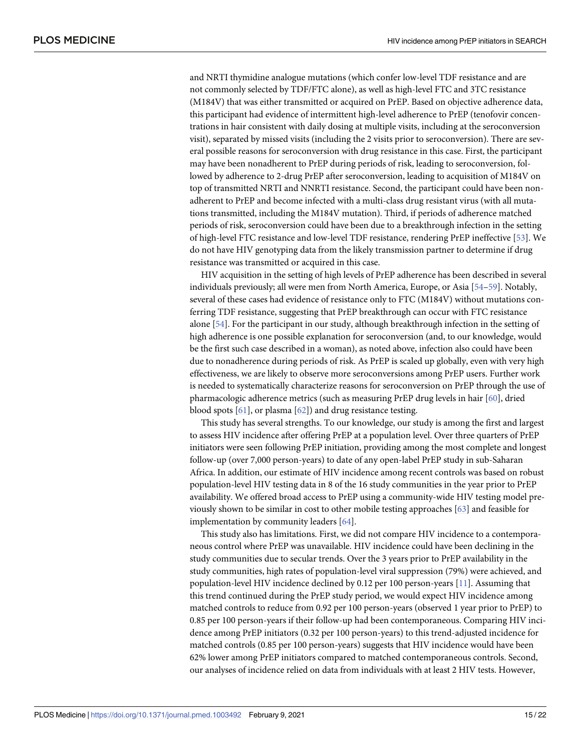<span id="page-14-0"></span>and NRTI thymidine analogue mutations (which confer low-level TDF resistance and are not commonly selected by TDF/FTC alone), as well as high-level FTC and 3TC resistance (M184V) that was either transmitted or acquired on PrEP. Based on objective adherence data, this participant had evidence of intermittent high-level adherence to PrEP (tenofovir concentrations in hair consistent with daily dosing at multiple visits, including at the seroconversion visit), separated by missed visits (including the 2 visits prior to seroconversion). There are several possible reasons for seroconversion with drug resistance in this case. First, the participant may have been nonadherent to PrEP during periods of risk, leading to seroconversion, followed by adherence to 2-drug PrEP after seroconversion, leading to acquisition of M184V on top of transmitted NRTI and NNRTI resistance. Second, the participant could have been nonadherent to PrEP and become infected with a multi-class drug resistant virus (with all mutations transmitted, including the M184V mutation). Third, if periods of adherence matched periods of risk, seroconversion could have been due to a breakthrough infection in the setting of high-level FTC resistance and low-level TDF resistance, rendering PrEP ineffective [\[53\]](#page-20-0). We do not have HIV genotyping data from the likely transmission partner to determine if drug resistance was transmitted or acquired in this case.

HIV acquisition in the setting of high levels of PrEP adherence has been described in several individuals previously; all were men from North America, Europe, or Asia [\[54–59](#page-20-0)]. Notably, several of these cases had evidence of resistance only to FTC (M184V) without mutations conferring TDF resistance, suggesting that PrEP breakthrough can occur with FTC resistance alone [\[54\]](#page-20-0). For the participant in our study, although breakthrough infection in the setting of high adherence is one possible explanation for seroconversion (and, to our knowledge, would be the first such case described in a woman), as noted above, infection also could have been due to nonadherence during periods of risk. As PrEP is scaled up globally, even with very high effectiveness, we are likely to observe more seroconversions among PrEP users. Further work is needed to systematically characterize reasons for seroconversion on PrEP through the use of pharmacologic adherence metrics (such as measuring PrEP drug levels in hair [[60](#page-20-0)], dried blood spots [\[61\]](#page-20-0), or plasma [\[62\]](#page-21-0)) and drug resistance testing.

This study has several strengths. To our knowledge, our study is among the first and largest to assess HIV incidence after offering PrEP at a population level. Over three quarters of PrEP initiators were seen following PrEP initiation, providing among the most complete and longest follow-up (over 7,000 person-years) to date of any open-label PrEP study in sub-Saharan Africa. In addition, our estimate of HIV incidence among recent controls was based on robust population-level HIV testing data in 8 of the 16 study communities in the year prior to PrEP availability. We offered broad access to PrEP using a community-wide HIV testing model previously shown to be similar in cost to other mobile testing approaches [\[63\]](#page-21-0) and feasible for implementation by community leaders [[64](#page-21-0)].

This study also has limitations. First, we did not compare HIV incidence to a contemporaneous control where PrEP was unavailable. HIV incidence could have been declining in the study communities due to secular trends. Over the 3 years prior to PrEP availability in the study communities, high rates of population-level viral suppression (79%) were achieved, and population-level HIV incidence declined by 0.12 per 100 person-years [[11](#page-18-0)]. Assuming that this trend continued during the PrEP study period, we would expect HIV incidence among matched controls to reduce from 0.92 per 100 person-years (observed 1 year prior to PrEP) to 0.85 per 100 person-years if their follow-up had been contemporaneous. Comparing HIV incidence among PrEP initiators (0.32 per 100 person-years) to this trend-adjusted incidence for matched controls (0.85 per 100 person-years) suggests that HIV incidence would have been 62% lower among PrEP initiators compared to matched contemporaneous controls. Second, our analyses of incidence relied on data from individuals with at least 2 HIV tests. However,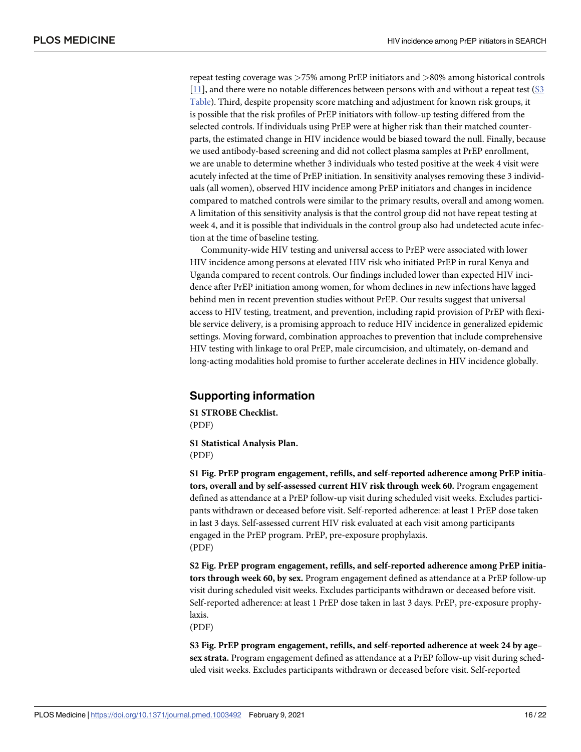<span id="page-15-0"></span>repeat testing coverage was *>*75% among PrEP initiators and *>*80% among historical controls [\[11\]](#page-18-0), and there were no notable differences between persons with and without a repeat test [\(S3](#page-16-0) [Table](#page-16-0)). Third, despite propensity score matching and adjustment for known risk groups, it is possible that the risk profiles of PrEP initiators with follow-up testing differed from the selected controls. If individuals using PrEP were at higher risk than their matched counterparts, the estimated change in HIV incidence would be biased toward the null. Finally, because we used antibody-based screening and did not collect plasma samples at PrEP enrollment, we are unable to determine whether 3 individuals who tested positive at the week 4 visit were acutely infected at the time of PrEP initiation. In sensitivity analyses removing these 3 individuals (all women), observed HIV incidence among PrEP initiators and changes in incidence compared to matched controls were similar to the primary results, overall and among women. A limitation of this sensitivity analysis is that the control group did not have repeat testing at week 4, and it is possible that individuals in the control group also had undetected acute infection at the time of baseline testing.

Community-wide HIV testing and universal access to PrEP were associated with lower HIV incidence among persons at elevated HIV risk who initiated PrEP in rural Kenya and Uganda compared to recent controls. Our findings included lower than expected HIV incidence after PrEP initiation among women, for whom declines in new infections have lagged behind men in recent prevention studies without PrEP. Our results suggest that universal access to HIV testing, treatment, and prevention, including rapid provision of PrEP with flexible service delivery, is a promising approach to reduce HIV incidence in generalized epidemic settings. Moving forward, combination approaches to prevention that include comprehensive HIV testing with linkage to oral PrEP, male circumcision, and ultimately, on-demand and long-acting modalities hold promise to further accelerate declines in HIV incidence globally.

## **Supporting information**

**S1 STROBE [Checklist.](http://journals.plos.org/plosmedicine/article/asset?unique&id=info:doi/10.1371/journal.pmed.1003492.s001)** (PDF)

**S1 [Statistical](http://journals.plos.org/plosmedicine/article/asset?unique&id=info:doi/10.1371/journal.pmed.1003492.s002) Analysis Plan.** (PDF)

**S1 [Fig](http://journals.plos.org/plosmedicine/article/asset?unique&id=info:doi/10.1371/journal.pmed.1003492.s003). PrEP program engagement, refills, and self-reported adherence among PrEP initiators, overall and by self-assessed current HIV risk through week 60.** Program engagement defined as attendance at a PrEP follow-up visit during scheduled visit weeks. Excludes participants withdrawn or deceased before visit. Self-reported adherence: at least 1 PrEP dose taken in last 3 days. Self-assessed current HIV risk evaluated at each visit among participants engaged in the PrEP program. PrEP, pre-exposure prophylaxis. (PDF)

**S2 [Fig](http://journals.plos.org/plosmedicine/article/asset?unique&id=info:doi/10.1371/journal.pmed.1003492.s004). PrEP program engagement, refills, and self-reported adherence among PrEP initiators through week 60, by sex.** Program engagement defined as attendance at a PrEP follow-up visit during scheduled visit weeks. Excludes participants withdrawn or deceased before visit. Self-reported adherence: at least 1 PrEP dose taken in last 3 days. PrEP, pre-exposure prophylaxis.

(PDF)

**S3 [Fig](http://journals.plos.org/plosmedicine/article/asset?unique&id=info:doi/10.1371/journal.pmed.1003492.s005). PrEP program engagement, refills, and self-reported adherence at week 24 by age– sex strata.** Program engagement defined as attendance at a PrEP follow-up visit during scheduled visit weeks. Excludes participants withdrawn or deceased before visit. Self-reported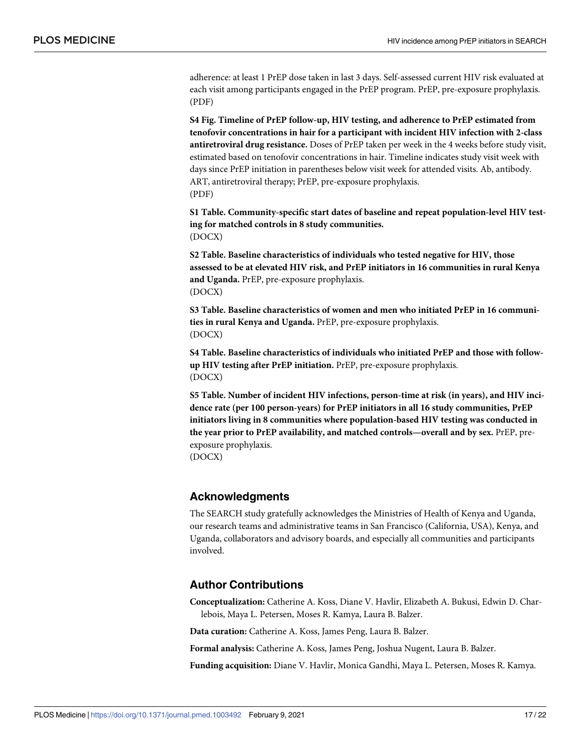<span id="page-16-0"></span>adherence: at least 1 PrEP dose taken in last 3 days. Self-assessed current HIV risk evaluated at each visit among participants engaged in the PrEP program. PrEP, pre-exposure prophylaxis. (PDF)

**S4 [Fig](http://journals.plos.org/plosmedicine/article/asset?unique&id=info:doi/10.1371/journal.pmed.1003492.s006). Timeline of PrEP follow-up, HIV testing, and adherence to PrEP estimated from tenofovir concentrations in hair for a participant with incident HIV infection with 2-class antiretroviral drug resistance.** Doses of PrEP taken per week in the 4 weeks before study visit, estimated based on tenofovir concentrations in hair. Timeline indicates study visit week with days since PrEP initiation in parentheses below visit week for attended visits. Ab, antibody. ART, antiretroviral therapy; PrEP, pre-exposure prophylaxis. (PDF)

**S1 [Table.](http://journals.plos.org/plosmedicine/article/asset?unique&id=info:doi/10.1371/journal.pmed.1003492.s007) Community-specific start dates of baseline and repeat population-level HIV testing for matched controls in 8 study communities.** (DOCX)

**S2 [Table.](http://journals.plos.org/plosmedicine/article/asset?unique&id=info:doi/10.1371/journal.pmed.1003492.s008) Baseline characteristics of individuals who tested negative for HIV, those assessed to be at elevated HIV risk, and PrEP initiators in 16 communities in rural Kenya and Uganda.** PrEP, pre-exposure prophylaxis. (DOCX)

**S3 [Table.](http://journals.plos.org/plosmedicine/article/asset?unique&id=info:doi/10.1371/journal.pmed.1003492.s009) Baseline characteristics of women and men who initiated PrEP in 16 communities in rural Kenya and Uganda.** PrEP, pre-exposure prophylaxis. (DOCX)

**S4 [Table.](http://journals.plos.org/plosmedicine/article/asset?unique&id=info:doi/10.1371/journal.pmed.1003492.s010) Baseline characteristics of individuals who initiated PrEP and those with followup HIV testing after PrEP initiation.** PrEP, pre-exposure prophylaxis. (DOCX)

**S5 [Table.](http://journals.plos.org/plosmedicine/article/asset?unique&id=info:doi/10.1371/journal.pmed.1003492.s011) Number of incident HIV infections, person-time at risk (in years), and HIV incidence rate (per 100 person-years) for PrEP initiators in all 16 study communities, PrEP initiators living in 8 communities where population-based HIV testing was conducted in the year prior to PrEP availability, and matched controls—overall and by sex.** PrEP, preexposure prophylaxis.

(DOCX)

#### **Acknowledgments**

The SEARCH study gratefully acknowledges the Ministries of Health of Kenya and Uganda, our research teams and administrative teams in San Francisco (California, USA), Kenya, and Uganda, collaborators and advisory boards, and especially all communities and participants involved.

#### **Author Contributions**

**Conceptualization:** Catherine A. Koss, Diane V. Havlir, Elizabeth A. Bukusi, Edwin D. Charlebois, Maya L. Petersen, Moses R. Kamya, Laura B. Balzer.

**Data curation:** Catherine A. Koss, James Peng, Laura B. Balzer.

**Formal analysis:** Catherine A. Koss, James Peng, Joshua Nugent, Laura B. Balzer.

**Funding acquisition:** Diane V. Havlir, Monica Gandhi, Maya L. Petersen, Moses R. Kamya.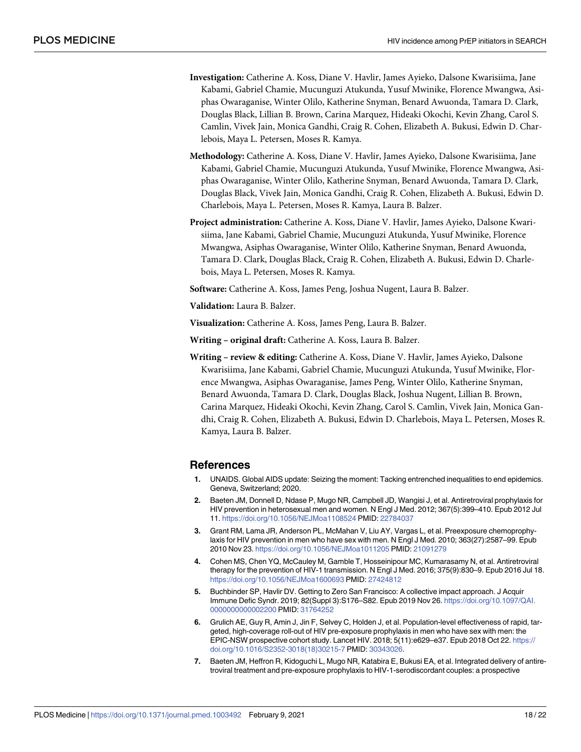- <span id="page-17-0"></span>**Investigation:** Catherine A. Koss, Diane V. Havlir, James Ayieko, Dalsone Kwarisiima, Jane Kabami, Gabriel Chamie, Mucunguzi Atukunda, Yusuf Mwinike, Florence Mwangwa, Asiphas Owaraganise, Winter Olilo, Katherine Snyman, Benard Awuonda, Tamara D. Clark, Douglas Black, Lillian B. Brown, Carina Marquez, Hideaki Okochi, Kevin Zhang, Carol S. Camlin, Vivek Jain, Monica Gandhi, Craig R. Cohen, Elizabeth A. Bukusi, Edwin D. Charlebois, Maya L. Petersen, Moses R. Kamya.
- **Methodology:** Catherine A. Koss, Diane V. Havlir, James Ayieko, Dalsone Kwarisiima, Jane Kabami, Gabriel Chamie, Mucunguzi Atukunda, Yusuf Mwinike, Florence Mwangwa, Asiphas Owaraganise, Winter Olilo, Katherine Snyman, Benard Awuonda, Tamara D. Clark, Douglas Black, Vivek Jain, Monica Gandhi, Craig R. Cohen, Elizabeth A. Bukusi, Edwin D. Charlebois, Maya L. Petersen, Moses R. Kamya, Laura B. Balzer.
- **Project administration:** Catherine A. Koss, Diane V. Havlir, James Ayieko, Dalsone Kwarisiima, Jane Kabami, Gabriel Chamie, Mucunguzi Atukunda, Yusuf Mwinike, Florence Mwangwa, Asiphas Owaraganise, Winter Olilo, Katherine Snyman, Benard Awuonda, Tamara D. Clark, Douglas Black, Craig R. Cohen, Elizabeth A. Bukusi, Edwin D. Charlebois, Maya L. Petersen, Moses R. Kamya.

**Software:** Catherine A. Koss, James Peng, Joshua Nugent, Laura B. Balzer.

**Validation:** Laura B. Balzer.

**Visualization:** Catherine A. Koss, James Peng, Laura B. Balzer.

**Writing – original draft:** Catherine A. Koss, Laura B. Balzer.

**Writing – review & editing:** Catherine A. Koss, Diane V. Havlir, James Ayieko, Dalsone Kwarisiima, Jane Kabami, Gabriel Chamie, Mucunguzi Atukunda, Yusuf Mwinike, Florence Mwangwa, Asiphas Owaraganise, James Peng, Winter Olilo, Katherine Snyman, Benard Awuonda, Tamara D. Clark, Douglas Black, Joshua Nugent, Lillian B. Brown, Carina Marquez, Hideaki Okochi, Kevin Zhang, Carol S. Camlin, Vivek Jain, Monica Gandhi, Craig R. Cohen, Elizabeth A. Bukusi, Edwin D. Charlebois, Maya L. Petersen, Moses R. Kamya, Laura B. Balzer.

#### **References**

- **[1](#page-2-0).** UNAIDS. Global AIDS update: Seizing the moment: Tacking entrenched inequalities to end epidemics. Geneva, Switzerland; 2020.
- **[2](#page-2-0).** Baeten JM, Donnell D, Ndase P, Mugo NR, Campbell JD, Wangisi J, et al. Antiretroviral prophylaxis for HIV prevention in heterosexual men and women. N Engl J Med. 2012; 367(5):399–410. Epub 2012 Jul 11. <https://doi.org/10.1056/NEJMoa1108524> PMID: [22784037](http://www.ncbi.nlm.nih.gov/pubmed/22784037)
- **[3](#page-2-0).** Grant RM, Lama JR, Anderson PL, McMahan V, Liu AY, Vargas L, et al. Preexposure chemoprophylaxis for HIV prevention in men who have sex with men. N Engl J Med. 2010; 363(27):2587–99. Epub 2010 Nov 23. <https://doi.org/10.1056/NEJMoa1011205> PMID: [21091279](http://www.ncbi.nlm.nih.gov/pubmed/21091279)
- **[4](#page-3-0).** Cohen MS, Chen YQ, McCauley M, Gamble T, Hosseinipour MC, Kumarasamy N, et al. Antiretroviral therapy for the prevention of HIV-1 transmission. N Engl J Med. 2016; 375(9):830–9. Epub 2016 Jul 18. <https://doi.org/10.1056/NEJMoa1600693> PMID: [27424812](http://www.ncbi.nlm.nih.gov/pubmed/27424812)
- **[5](#page-3-0).** Buchbinder SP, Havlir DV. Getting to Zero San Francisco: A collective impact approach. J Acquir Immune Defic Syndr. 2019; 82(Suppl 3):S176–S82. Epub 2019 Nov 26. [https://doi.org/10.1097/QAI.](https://doi.org/10.1097/QAI.0000000000002200) [0000000000002200](https://doi.org/10.1097/QAI.0000000000002200) PMID: [31764252](http://www.ncbi.nlm.nih.gov/pubmed/31764252)
- **[6](#page-3-0).** Grulich AE, Guy R, Amin J, Jin F, Selvey C, Holden J, et al. Population-level effectiveness of rapid, targeted, high-coverage roll-out of HIV pre-exposure prophylaxis in men who have sex with men: the EPIC-NSW prospective cohort study. Lancet HIV. 2018; 5(11):e629–e37. Epub 2018 Oct 22. [https://](https://doi.org/10.1016/S2352-3018%2818%2930215-7) [doi.org/10.1016/S2352-3018\(18\)30215-7](https://doi.org/10.1016/S2352-3018%2818%2930215-7) PMID: [30343026](http://www.ncbi.nlm.nih.gov/pubmed/30343026).
- **[7](#page-3-0).** Baeten JM, Heffron R, Kidoguchi L, Mugo NR, Katabira E, Bukusi EA, et al. Integrated delivery of antiretroviral treatment and pre-exposure prophylaxis to HIV-1-serodiscordant couples: a prospective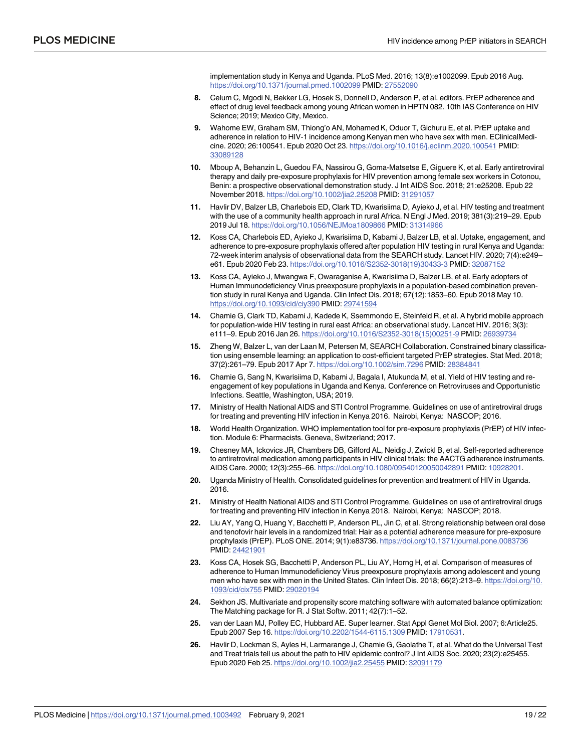implementation study in Kenya and Uganda. PLoS Med. 2016; 13(8):e1002099. Epub 2016 Aug. <https://doi.org/10.1371/journal.pmed.1002099> PMID: [27552090](http://www.ncbi.nlm.nih.gov/pubmed/27552090)

- <span id="page-18-0"></span>**[8](#page-3-0).** Celum C, Mgodi N, Bekker LG, Hosek S, Donnell D, Anderson P, et al. editors. PrEP adherence and effect of drug level feedback among young African women in HPTN 082. 10th IAS Conference on HIV Science; 2019; Mexico City, Mexico.
- **[9](#page-3-0).** Wahome EW, Graham SM, Thiong'o AN, Mohamed K, Oduor T, Gichuru E, et al. PrEP uptake and adherence in relation to HIV-1 incidence among Kenyan men who have sex with men. EClinicalMedicine. 2020; 26:100541. Epub 2020 Oct 23. <https://doi.org/10.1016/j.eclinm.2020.100541> PMID: [33089128](http://www.ncbi.nlm.nih.gov/pubmed/33089128)
- **[10](#page-3-0).** Mboup A, Behanzin L, Guedou FA, Nassirou G, Goma-Matsetse E, Giguere K, et al. Early antiretroviral therapy and daily pre-exposure prophylaxis for HIV prevention among female sex workers in Cotonou, Benin: a prospective observational demonstration study. J Int AIDS Soc. 2018; 21:e25208. Epub 22 November 2018. <https://doi.org/10.1002/jia2.25208> PMID: [31291057](http://www.ncbi.nlm.nih.gov/pubmed/31291057)
- **[11](#page-3-0).** Havlir DV, Balzer LB, Charlebois ED, Clark TD, Kwarisiima D, Ayieko J, et al. HIV testing and treatment with the use of a community health approach in rural Africa. N Engl J Med. 2019; 381(3):219–29. Epub 2019 Jul 18. <https://doi.org/10.1056/NEJMoa1809866> PMID: [31314966](http://www.ncbi.nlm.nih.gov/pubmed/31314966)
- **[12](#page-3-0).** Koss CA, Charlebois ED, Ayieko J, Kwarisiima D, Kabami J, Balzer LB, et al. Uptake, engagement, and adherence to pre-exposure prophylaxis offered after population HIV testing in rural Kenya and Uganda: 72-week interim analysis of observational data from the SEARCH study. Lancet HIV. 2020; 7(4):e249– e61. Epub 2020 Feb 23. [https://doi.org/10.1016/S2352-3018\(19\)30433-3](https://doi.org/10.1016/S2352-3018%2819%2930433-3) PMID: [32087152](http://www.ncbi.nlm.nih.gov/pubmed/32087152)
- **[13](#page-3-0).** Koss CA, Ayieko J, Mwangwa F, Owaraganise A, Kwarisiima D, Balzer LB, et al. Early adopters of Human Immunodeficiency Virus preexposure prophylaxis in a population-based combination prevention study in rural Kenya and Uganda. Clin Infect Dis. 2018; 67(12):1853–60. Epub 2018 May 10. <https://doi.org/10.1093/cid/ciy390> PMID: [29741594](http://www.ncbi.nlm.nih.gov/pubmed/29741594)
- **[14](#page-3-0).** Chamie G, Clark TD, Kabami J, Kadede K, Ssemmondo E, Steinfeld R, et al. A hybrid mobile approach for population-wide HIV testing in rural east Africa: an observational study. Lancet HIV. 2016; 3(3): e111–9. Epub 2016 Jan 26. [https://doi.org/10.1016/S2352-3018\(15\)00251-9](https://doi.org/10.1016/S2352-3018%2815%2900251-9) PMID: [26939734](http://www.ncbi.nlm.nih.gov/pubmed/26939734)
- **[15](#page-3-0).** Zheng W, Balzer L, van der Laan M, Petersen M, SEARCH Collaboration. Constrained binary classification using ensemble learning: an application to cost-efficient targeted PrEP strategies. Stat Med. 2018; 37(2):261–79. Epub 2017 Apr 7. <https://doi.org/10.1002/sim.7296> PMID: [28384841](http://www.ncbi.nlm.nih.gov/pubmed/28384841)
- **[16](#page-4-0).** Chamie G, Sang N, Kwarisiima D, Kabami J, Bagala I, Atukunda M, et al. Yield of HIV testing and reengagement of key populations in Uganda and Kenya. Conference on Retroviruses and Opportunistic Infections. Seattle, Washington, USA; 2019.
- **[17](#page-4-0).** Ministry of Health National AIDS and STI Control Programme. Guidelines on use of antiretroviral drugs for treating and preventing HIV infection in Kenya 2016. Nairobi, Kenya: NASCOP; 2016.
- **[18](#page-4-0).** World Health Organization. WHO implementation tool for pre-exposure prophylaxis (PrEP) of HIV infection. Module 6: Pharmacists. Geneva, Switzerland; 2017.
- **[19](#page-4-0).** Chesney MA, Ickovics JR, Chambers DB, Gifford AL, Neidig J, Zwickl B, et al. Self-reported adherence to antiretroviral medication among participants in HIV clinical trials: the AACTG adherence instruments. AIDS Care. 2000; 12(3):255–66. <https://doi.org/10.1080/09540120050042891> PMID: [10928201.](http://www.ncbi.nlm.nih.gov/pubmed/10928201)
- **[20](#page-4-0).** Uganda Ministry of Health. Consolidated guidelines for prevention and treatment of HIV in Uganda. 2016.
- **[21](#page-4-0).** Ministry of Health National AIDS and STI Control Programme. Guidelines on use of antiretroviral drugs for treating and preventing HIV infection in Kenya 2018. Nairobi, Kenya: NASCOP; 2018.
- **[22](#page-4-0).** Liu AY, Yang Q, Huang Y, Bacchetti P, Anderson PL, Jin C, et al. Strong relationship between oral dose and tenofovir hair levels in a randomized trial: Hair as a potential adherence measure for pre-exposure prophylaxis (PrEP). PLoS ONE. 2014; 9(1):e83736. <https://doi.org/10.1371/journal.pone.0083736> PMID: [24421901](http://www.ncbi.nlm.nih.gov/pubmed/24421901)
- **[23](#page-4-0).** Koss CA, Hosek SG, Bacchetti P, Anderson PL, Liu AY, Horng H, et al. Comparison of measures of adherence to Human Immunodeficiency Virus preexposure prophylaxis among adolescent and young men who have sex with men in the United States. Clin Infect Dis. 2018; 66(2):213–9. [https://doi.org/10.](https://doi.org/10.1093/cid/cix755) [1093/cid/cix755](https://doi.org/10.1093/cid/cix755) PMID: [29020194](http://www.ncbi.nlm.nih.gov/pubmed/29020194)
- **[24](#page-5-0).** Sekhon JS. Multivariate and propensity score matching software with automated balance optimization: The Matching package for R. J Stat Softw. 2011; 42(7):1–52.
- **[25](#page-5-0).** van der Laan MJ, Polley EC, Hubbard AE. Super learner. Stat Appl Genet Mol Biol. 2007; 6:Article25. Epub 2007 Sep 16. <https://doi.org/10.2202/1544-6115.1309> PMID: [17910531](http://www.ncbi.nlm.nih.gov/pubmed/17910531).
- **[26](#page-11-0).** Havlir D, Lockman S, Ayles H, Larmarange J, Chamie G, Gaolathe T, et al. What do the Universal Test and Treat trials tell us about the path to HIV epidemic control? J Int AIDS Soc. 2020; 23(2):e25455. Epub 2020 Feb 25. <https://doi.org/10.1002/jia2.25455> PMID: [32091179](http://www.ncbi.nlm.nih.gov/pubmed/32091179)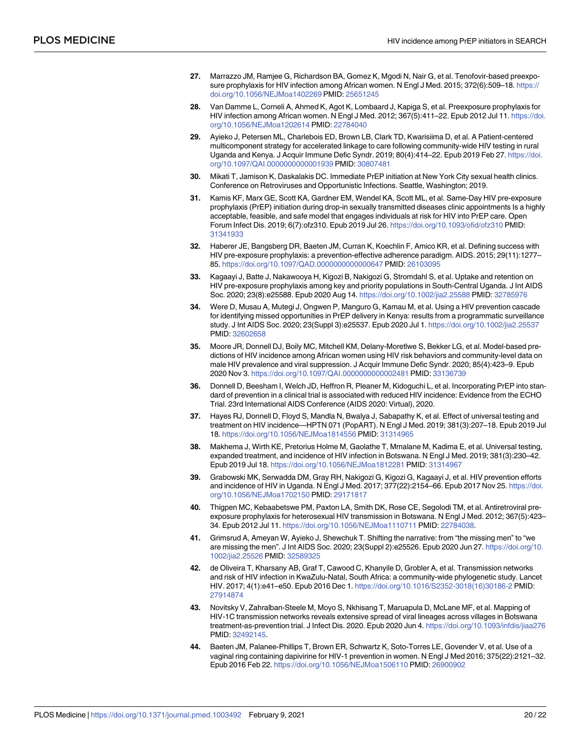- <span id="page-19-0"></span>**[27](#page-11-0).** Marrazzo JM, Ramjee G, Richardson BA, Gomez K, Mgodi N, Nair G, et al. Tenofovir-based preexposure prophylaxis for HIV infection among African women. N Engl J Med. 2015; 372(6):509–18. [https://](https://doi.org/10.1056/NEJMoa1402269) [doi.org/10.1056/NEJMoa1402269](https://doi.org/10.1056/NEJMoa1402269) PMID: [25651245](http://www.ncbi.nlm.nih.gov/pubmed/25651245)
- **[28](#page-11-0).** Van Damme L, Corneli A, Ahmed K, Agot K, Lombaard J, Kapiga S, et al. Preexposure prophylaxis for HIV infection among African women. N Engl J Med. 2012; 367(5):411–22. Epub 2012 Jul 11. [https://doi.](https://doi.org/10.1056/NEJMoa1202614) [org/10.1056/NEJMoa1202614](https://doi.org/10.1056/NEJMoa1202614) PMID: [22784040](http://www.ncbi.nlm.nih.gov/pubmed/22784040)
- **[29](#page-11-0).** Ayieko J, Petersen ML, Charlebois ED, Brown LB, Clark TD, Kwarisiima D, et al. A Patient-centered multicomponent strategy for accelerated linkage to care following community-wide HIV testing in rural Uganda and Kenya. J Acquir Immune Defic Syndr. 2019; 80(4):414–22. Epub 2019 Feb 27. [https://doi.](https://doi.org/10.1097/QAI.0000000000001939) [org/10.1097/QAI.0000000000001939](https://doi.org/10.1097/QAI.0000000000001939) PMID: [30807481](http://www.ncbi.nlm.nih.gov/pubmed/30807481)
- **[30](#page-12-0).** Mikati T, Jamison K, Daskalakis DC. Immediate PrEP initiation at New York City sexual health clinics. Conference on Retroviruses and Opportunistic Infections. Seattle, Washington; 2019.
- **[31](#page-12-0).** Kamis KF, Marx GE, Scott KA, Gardner EM, Wendel KA, Scott ML, et al. Same-Day HIV pre-exposure prophylaxis (PrEP) initiation during drop-in sexually transmitted diseases clinic appointments Is a highly acceptable, feasible, and safe model that engages individuals at risk for HIV into PrEP care. Open Forum Infect Dis. 2019; 6(7):ofz310. Epub 2019 Jul 26. <https://doi.org/10.1093/ofid/ofz310> PMID: [31341933](http://www.ncbi.nlm.nih.gov/pubmed/31341933)
- **[32](#page-12-0).** Haberer JE, Bangsberg DR, Baeten JM, Curran K, Koechlin F, Amico KR, et al. Defining success with HIV pre-exposure prophylaxis: a prevention-effective adherence paradigm. AIDS. 2015; 29(11):1277– 85. <https://doi.org/10.1097/QAD.0000000000000647> PMID: [26103095](http://www.ncbi.nlm.nih.gov/pubmed/26103095)
- **[33](#page-12-0).** Kagaayi J, Batte J, Nakawooya H, Kigozi B, Nakigozi G, Stromdahl S, et al. Uptake and retention on HIV pre-exposure prophylaxis among key and priority populations in South-Central Uganda. J Int AIDS Soc. 2020; 23(8):e25588. Epub 2020 Aug 14. <https://doi.org/10.1002/jia2.25588> PMID: [32785976](http://www.ncbi.nlm.nih.gov/pubmed/32785976)
- **[34](#page-12-0).** Were D, Musau A, Mutegi J, Ongwen P, Manguro G, Kamau M, et al. Using a HIV prevention cascade for identifying missed opportunities in PrEP delivery in Kenya: results from a programmatic surveillance study. J Int AIDS Soc. 2020; 23(Suppl 3):e25537. Epub 2020 Jul 1. <https://doi.org/10.1002/jia2.25537> PMID: [32602658](http://www.ncbi.nlm.nih.gov/pubmed/32602658)
- **[35](#page-12-0).** Moore JR, Donnell DJ, Boily MC, Mitchell KM, Delany-Moretlwe S, Bekker LG, et al. Model-based predictions of HIV incidence among African women using HIV risk behaviors and community-level data on male HIV prevalence and viral suppression. J Acquir Immune Defic Syndr. 2020; 85(4):423–9. Epub 2020 Nov 3. <https://doi.org/10.1097/QAI.0000000000002481> PMID: [33136739](http://www.ncbi.nlm.nih.gov/pubmed/33136739)
- **[36](#page-12-0).** Donnell D, Beesham I, Welch JD, Heffron R, Pleaner M, Kidoguchi L, et al. Incorporating PrEP into standard of prevention in a clinical trial is associated with reduced HIV incidence: Evidence from the ECHO Trial. 23rd International AIDS Conference (AIDS 2020: Virtual), 2020.
- **[37](#page-12-0).** Hayes RJ, Donnell D, Floyd S, Mandla N, Bwalya J, Sabapathy K, et al. Effect of universal testing and treatment on HIV incidence—HPTN 071 (PopART). N Engl J Med. 2019; 381(3):207–18. Epub 2019 Jul 18. <https://doi.org/10.1056/NEJMoa1814556> PMID: [31314965](http://www.ncbi.nlm.nih.gov/pubmed/31314965)
- **[38](#page-13-0).** Makhema J, Wirth KE, Pretorius Holme M, Gaolathe T, Mmalane M, Kadima E, et al. Universal testing, expanded treatment, and incidence of HIV infection in Botswana. N Engl J Med. 2019; 381(3):230–42. Epub 2019 Jul 18. <https://doi.org/10.1056/NEJMoa1812281> PMID: [31314967](http://www.ncbi.nlm.nih.gov/pubmed/31314967)
- **[39](#page-12-0).** Grabowski MK, Serwadda DM, Gray RH, Nakigozi G, Kigozi G, Kagaayi J, et al. HIV prevention efforts and incidence of HIV in Uganda. N Engl J Med. 2017; 377(22):2154–66. Epub 2017 Nov 25. [https://doi.](https://doi.org/10.1056/NEJMoa1702150) [org/10.1056/NEJMoa1702150](https://doi.org/10.1056/NEJMoa1702150) PMID: [29171817](http://www.ncbi.nlm.nih.gov/pubmed/29171817)
- **[40](#page-12-0).** Thigpen MC, Kebaabetswe PM, Paxton LA, Smith DK, Rose CE, Segolodi TM, et al. Antiretroviral preexposure prophylaxis for heterosexual HIV transmission in Botswana. N Engl J Med. 2012; 367(5):423– 34. Epub 2012 Jul 11. <https://doi.org/10.1056/NEJMoa1110711> PMID: [22784038.](http://www.ncbi.nlm.nih.gov/pubmed/22784038)
- **[41](#page-13-0).** Grimsrud A, Ameyan W, Ayieko J, Shewchuk T. Shifting the narrative: from "the missing men" to "we are missing the men". J Int AIDS Soc. 2020; 23(Suppl 2):e25526. Epub 2020 Jun 27. [https://doi.org/10.](https://doi.org/10.1002/jia2.25526) [1002/jia2.25526](https://doi.org/10.1002/jia2.25526) PMID: [32589325](http://www.ncbi.nlm.nih.gov/pubmed/32589325)
- **[42](#page-13-0).** de Oliveira T, Kharsany AB, Graf T, Cawood C, Khanyile D, Grobler A, et al. Transmission networks and risk of HIV infection in KwaZulu-Natal, South Africa: a community-wide phylogenetic study. Lancet HIV. 2017; 4(1):e41–e50. Epub 2016 Dec 1. [https://doi.org/10.1016/S2352-3018\(16\)30186-2](https://doi.org/10.1016/S2352-3018%2816%2930186-2) PMID: [27914874](http://www.ncbi.nlm.nih.gov/pubmed/27914874)
- **[43](#page-13-0).** Novitsky V, Zahralban-Steele M, Moyo S, Nkhisang T, Maruapula D, McLane MF, et al. Mapping of HIV-1C transmission networks reveals extensive spread of viral lineages across villages in Botswana treatment-as-prevention trial. J Infect Dis. 2020. Epub 2020 Jun 4. <https://doi.org/10.1093/infdis/jiaa276> PMID: [32492145](http://www.ncbi.nlm.nih.gov/pubmed/32492145).
- **[44](#page-13-0).** Baeten JM, Palanee-Phillips T, Brown ER, Schwartz K, Soto-Torres LE, Govender V, et al. Use of a vaginal ring containing dapivirine for HIV-1 prevention in women. N Engl J Med 2016; 375(22):2121–32. Epub 2016 Feb 22. <https://doi.org/10.1056/NEJMoa1506110> PMID: [26900902](http://www.ncbi.nlm.nih.gov/pubmed/26900902)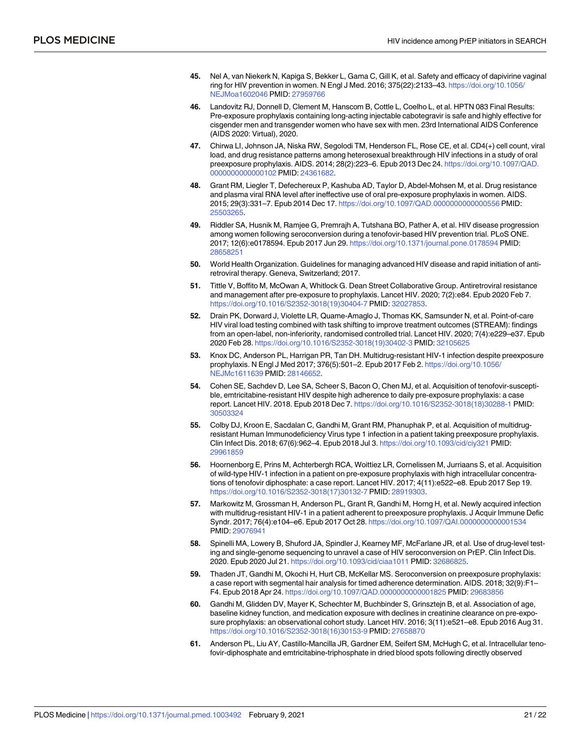- <span id="page-20-0"></span>**[45](#page-13-0).** Nel A, van Niekerk N, Kapiga S, Bekker L, Gama C, Gill K, et al. Safety and efficacy of dapivirine vaginal ring for HIV prevention in women. N Engl J Med. 2016; 375(22):2133–43. [https://doi.org/10.1056/](https://doi.org/10.1056/NEJMoa1602046) [NEJMoa1602046](https://doi.org/10.1056/NEJMoa1602046) PMID: [27959766](http://www.ncbi.nlm.nih.gov/pubmed/27959766)
- **[46](#page-13-0).** Landovitz RJ, Donnell D, Clement M, Hanscom B, Cottle L, Coelho L, et al. HPTN 083 Final Results: Pre-exposure prophylaxis containing long-acting injectable cabotegravir is safe and highly effective for cisgender men and transgender women who have sex with men. 23rd International AIDS Conference (AIDS 2020: Virtual), 2020.
- **[47](#page-13-0).** Chirwa LI, Johnson JA, Niska RW, Segolodi TM, Henderson FL, Rose CE, et al. CD4(+) cell count, viral load, and drug resistance patterns among heterosexual breakthrough HIV infections in a study of oral preexposure prophylaxis. AIDS. 2014; 28(2):223–6. Epub 2013 Dec 24. [https://doi.org/10.1097/QAD.](https://doi.org/10.1097/QAD.0000000000000102) [0000000000000102](https://doi.org/10.1097/QAD.0000000000000102) PMID: [24361682.](http://www.ncbi.nlm.nih.gov/pubmed/24361682)
- **48.** Grant RM, Liegler T, Defechereux P, Kashuba AD, Taylor D, Abdel-Mohsen M, et al. Drug resistance and plasma viral RNA level after ineffective use of oral pre-exposure prophylaxis in women. AIDS. 2015; 29(3):331–7. Epub 2014 Dec 17. <https://doi.org/10.1097/QAD.0000000000000556> PMID: [25503265](http://www.ncbi.nlm.nih.gov/pubmed/25503265).
- **[49](#page-13-0).** Riddler SA, Husnik M, Ramjee G, Premrajh A, Tutshana BO, Pather A, et al. HIV disease progression among women following seroconversion during a tenofovir-based HIV prevention trial. PLoS ONE. 2017; 12(6):e0178594. Epub 2017 Jun 29. <https://doi.org/10.1371/journal.pone.0178594> PMID: [28658251](http://www.ncbi.nlm.nih.gov/pubmed/28658251)
- **[50](#page-13-0).** World Health Organization. Guidelines for managing advanced HIV disease and rapid initiation of antiretroviral therapy. Geneva, Switzerland; 2017.
- **[51](#page-13-0).** Tittle V, Boffito M, McOwan A, Whitlock G. Dean Street Collaborative Group. Antiretroviral resistance and management after pre-exposure to prophylaxis. Lancet HIV. 2020; 7(2):e84. Epub 2020 Feb 7. [https://doi.org/10.1016/S2352-3018\(19\)30404-7](https://doi.org/10.1016/S2352-3018%2819%2930404-7) PMID: [32027853](http://www.ncbi.nlm.nih.gov/pubmed/32027853).
- **[52](#page-13-0).** Drain PK, Dorward J, Violette LR, Quame-Amaglo J, Thomas KK, Samsunder N, et al. Point-of-care HIV viral load testing combined with task shifting to improve treatment outcomes (STREAM): findings from an open-label, non-inferiority, randomised controlled trial. Lancet HIV. 2020; 7(4):e229-e37. Epub 2020 Feb 28. [https://doi.org/10.1016/S2352-3018\(19\)30402-3](https://doi.org/10.1016/S2352-3018%2819%2930402-3) PMID: [32105625](http://www.ncbi.nlm.nih.gov/pubmed/32105625)
- **[53](#page-14-0).** Knox DC, Anderson PL, Harrigan PR, Tan DH. Multidrug-resistant HIV-1 infection despite preexposure prophylaxis. N Engl J Med 2017; 376(5):501–2. Epub 2017 Feb 2. [https://doi.org/10.1056/](https://doi.org/10.1056/NEJMc1611639) [NEJMc1611639](https://doi.org/10.1056/NEJMc1611639) PMID: [28146652.](http://www.ncbi.nlm.nih.gov/pubmed/28146652)
- **[54](#page-14-0).** Cohen SE, Sachdev D, Lee SA, Scheer S, Bacon O, Chen MJ, et al. Acquisition of tenofovir-susceptible, emtricitabine-resistant HIV despite high adherence to daily pre-exposure prophylaxis: a case report. Lancet HIV. 2018. Epub 2018 Dec 7. [https://doi.org/10.1016/S2352-3018\(18\)30288-1](https://doi.org/10.1016/S2352-3018%2818%2930288-1) PMID: [30503324](http://www.ncbi.nlm.nih.gov/pubmed/30503324)
- **55.** Colby DJ, Kroon E, Sacdalan C, Gandhi M, Grant RM, Phanuphak P, et al. Acquisition of multidrugresistant Human Immunodeficiency Virus type 1 infection in a patient taking preexposure prophylaxis. Clin Infect Dis. 2018; 67(6):962–4. Epub 2018 Jul 3. <https://doi.org/10.1093/cid/ciy321> PMID: [29961859](http://www.ncbi.nlm.nih.gov/pubmed/29961859)
- **56.** Hoornenborg E, Prins M, Achterbergh RCA, Woittiez LR, Cornelissen M, Jurriaans S, et al. Acquisition of wild-type HIV-1 infection in a patient on pre-exposure prophylaxis with high intracellular concentrations of tenofovir diphosphate: a case report. Lancet HIV. 2017; 4(11):e522–e8. Epub 2017 Sep 19. [https://doi.org/10.1016/S2352-3018\(17\)30132-7](https://doi.org/10.1016/S2352-3018%2817%2930132-7) PMID: [28919303](http://www.ncbi.nlm.nih.gov/pubmed/28919303).
- **57.** Markowitz M, Grossman H, Anderson PL, Grant R, Gandhi M, Horng H, et al. Newly acquired infection with multidrug-resistant HIV-1 in a patient adherent to preexposure prophylaxis. J Acquir Immune Defic Syndr. 2017; 76(4):e104–e6. Epub 2017 Oct 28. <https://doi.org/10.1097/QAI.0000000000001534> PMID: [29076941](http://www.ncbi.nlm.nih.gov/pubmed/29076941)
- **58.** Spinelli MA, Lowery B, Shuford JA, Spindler J, Kearney MF, McFarlane JR, et al. Use of drug-level testing and single-genome sequencing to unravel a case of HIV seroconversion on PrEP. Clin Infect Dis. 2020. Epub 2020 Jul 21. <https://doi.org/10.1093/cid/ciaa1011> PMID: [32686825.](http://www.ncbi.nlm.nih.gov/pubmed/32686825)
- **[59](#page-14-0).** Thaden JT, Gandhi M, Okochi H, Hurt CB, McKellar MS. Seroconversion on preexposure prophylaxis: a case report with segmental hair analysis for timed adherence determination. AIDS. 2018; 32(9):F1– F4. Epub 2018 Apr 24. <https://doi.org/10.1097/QAD.0000000000001825> PMID: [29683856](http://www.ncbi.nlm.nih.gov/pubmed/29683856)
- **[60](#page-14-0).** Gandhi M, Glidden DV, Mayer K, Schechter M, Buchbinder S, Grinsztejn B, et al. Association of age, baseline kidney function, and medication exposure with declines in creatinine clearance on pre-exposure prophylaxis: an observational cohort study. Lancet HIV. 2016; 3(11):e521–e8. Epub 2016 Aug 31. [https://doi.org/10.1016/S2352-3018\(16\)30153-9](https://doi.org/10.1016/S2352-3018%2816%2930153-9) PMID: [27658870](http://www.ncbi.nlm.nih.gov/pubmed/27658870)
- **[61](#page-14-0).** Anderson PL, Liu AY, Castillo-Mancilla JR, Gardner EM, Seifert SM, McHugh C, et al. Intracellular tenofovir-diphosphate and emtricitabine-triphosphate in dried blood spots following directly observed